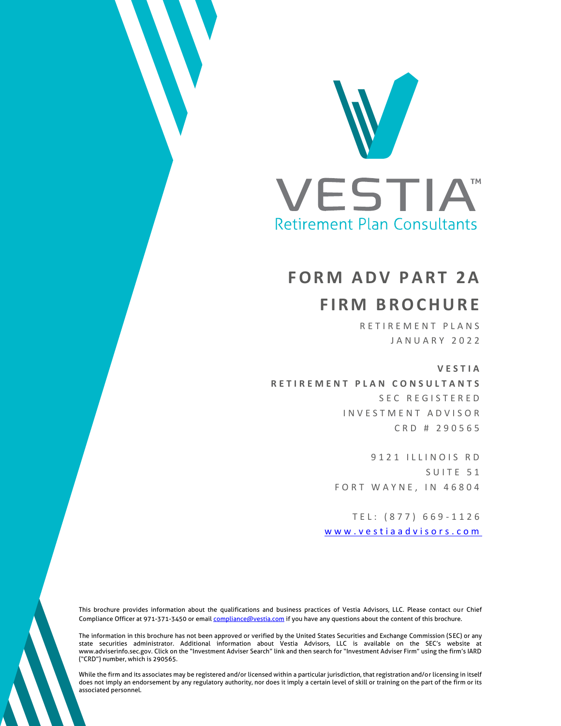

# **FORM ADV PART 2A F I R M B R O C H U R E**

RETIREMENT PLANS J A N U A R Y 2 0 2 2

**V E S T I A** 

**R E T I R E M E N T P L A N C O N S U L T A N T S** SEC REGISTERED INVESTMENT ADVISOR C R D # 2 9 0 5 6 5

> 9121 ILLINOIS RD S U I T E 51 FORT WAYNE, IN 46804

T E L : ( 8 7 7 ) 6 6 9 - 1 1 2 6 www.vestiaadvisors.com

This brochure provides information about the qualifications and business practices of Vestia Advisors, LLC. Please contact our Chief Compliance Officer at 971-371-3450 or email *compliance@vestia.com* if you have any questions about the content of this brochure.

The information in this brochure has not been approved or verified by the United States Securities and Exchange Commission (SEC) or any state securities administrator. Additional information about Vestia Advisors, LLC is available on the SEC's website at www.adviserinfo.sec.gov. Click on the "Investment Adviser Search" link and then search for "Investment Adviser Firm" using the firm's IARD ("CRD") number, which is 290565.

While the firm and its associates may be registered and/or licensed within a particular jurisdiction, that registration and/or licensing in itself does not imply an endorsement by any regulatory authority, nor does it imply a certain level of skill or training on the part of the firm or its associated personnel.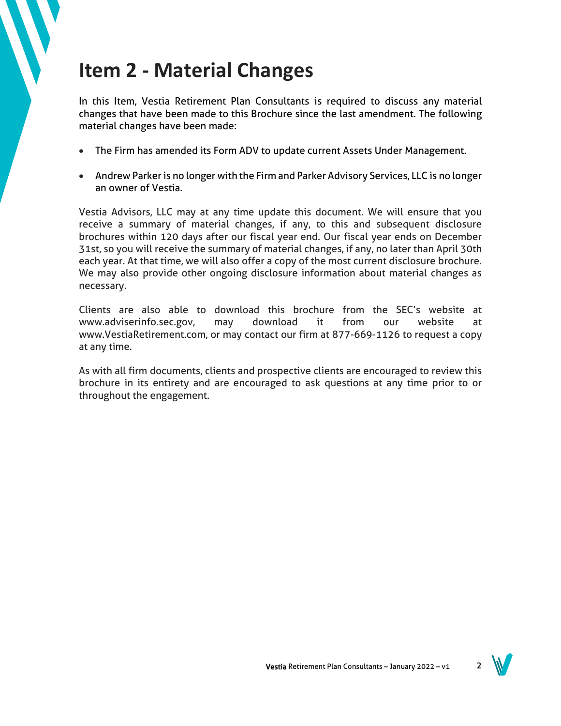## **Item 2 - Material Changes**

In this Item, Vestia Retirement Plan Consultants is required to discuss any material changes that have been made to this Brochure since the last amendment. The following material changes have been made:

- The Firm has amended its Form ADV to update current Assets Under Management.
- Andrew Parker is no longer with the Firm and Parker Advisory Services, LLC is no longer an owner of Vestia.

Vestia Advisors, LLC may at any time update this document. We will ensure that you receive a summary of material changes, if any, to this and subsequent disclosure brochures within 120 days after our fiscal year end. Our fiscal year ends on December 31st, so you will receive the summary of material changes, if any, no later than April 30th each year. At that time, we will also offer a copy of the most current disclosure brochure. We may also provide other ongoing disclosure information about material changes as necessary.

Clients are also able to download this brochure from the SEC's website at www.adviserinfo.sec.gov, may download it from our website at www.VestiaRetirement.com, or may contact our firm at 877-669-1126 to request a copy at any time.

As with all firm documents, clients and prospective clients are encouraged to review this brochure in its entirety and are encouraged to ask questions at any time prior to or throughout the engagement.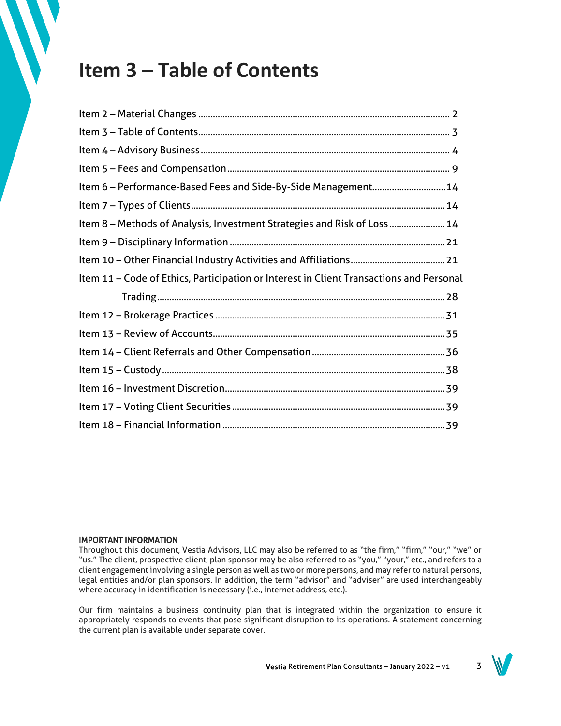## **Item 3 – Table of Contents**

| Item 6 - Performance-Based Fees and Side-By-Side Management14                           |  |
|-----------------------------------------------------------------------------------------|--|
|                                                                                         |  |
| Item 8 - Methods of Analysis, Investment Strategies and Risk of Loss 14                 |  |
|                                                                                         |  |
|                                                                                         |  |
| Item 11 - Code of Ethics, Participation or Interest in Client Transactions and Personal |  |
|                                                                                         |  |
|                                                                                         |  |
|                                                                                         |  |
|                                                                                         |  |
|                                                                                         |  |
|                                                                                         |  |
|                                                                                         |  |
|                                                                                         |  |

#### IMPORTANT INFORMATION

Throughout this document, Vestia Advisors, LLC may also be referred to as "the firm," "firm," "our," "we" or "us." The client, prospective client, plan sponsor may be also referred to as "you," "your," etc., and refers to a client engagement involving a single person as well as two or more persons, and may refer to natural persons, legal entities and/or plan sponsors. In addition, the term "advisor" and "adviser" are used interchangeably where accuracy in identification is necessary (i.e., internet address, etc.).

Our firm maintains a business continuity plan that is integrated within the organization to ensure it appropriately responds to events that pose significant disruption to its operations. A statement concerning the current plan is available under separate cover.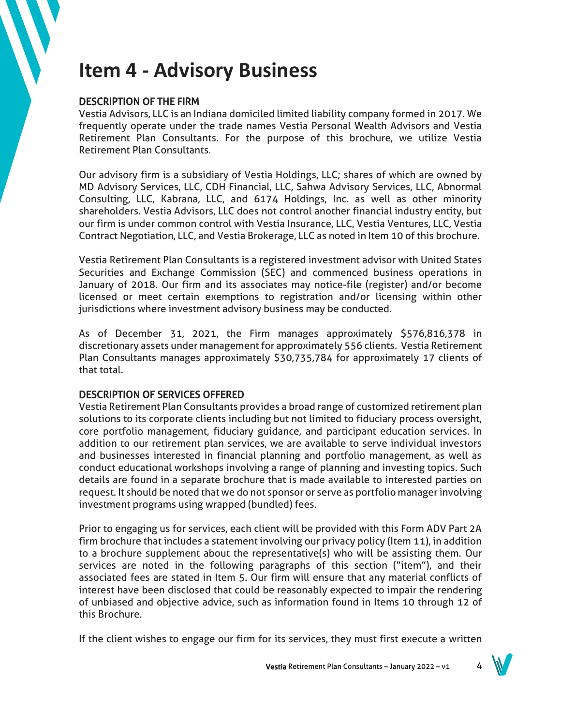## **Item 4 - Advisory Business**

## DESCRIPTION OF THE FIRM

Vestia Advisors, LLC is an Indiana domiciled limited liability company formed in 2017. We frequently operate under the trade names Vestia Personal Wealth Advisors and Vestia Retirement Plan Consultants. For the purpose of this brochure, we utilize Vestia Retirement Plan Consultants.

Our advisory firm is a subsidiary of Vestia Holdings, LLC; shares of which are owned by MD Advisory Services, LLC, CDH Financial, LLC, Sahwa Advisory Services, LLC, Abnormal Consulting, LLC, Kabrana, LLC, and 6174 Holdings, Inc. as well as other minority shareholders. Vestia Advisors, LLC does not control another financial industry entity, but our firm is under common control with Vestia Insurance, LLC, Vestia Ventures, LLC, Vestia Contract Negotiation, LLC, and Vestia Brokerage, LLC as noted in Item 10 of this brochure.

Vestia Retirement Plan Consultants is a registered investment advisor with United States Securities and Exchange Commission (SEC) and commenced business operations in January of 2018. Our firm and its associates may notice-file (register) and/or become licensed or meet certain exemptions to registration and/or licensing within other jurisdictions where investment advisory business may be conducted.

As of December 31, 2021, the Firm manages approximately \$576,816,378 in discretionary assets under management for approximately 556 clients. Vestia Retirement Plan Consultants manages approximately \$30,735,784 for approximately 17 clients of that total.

## DESCRIPTION OF SERVICES OFFERED

Vestia Retirement Plan Consultants provides a broad range of customized retirement plan solutions to its corporate clients including but not limited to fiduciary process oversight, core portfolio management, fiduciary guidance, and participant education services. In addition to our retirement plan services, we are available to serve individual investors and businesses interested in financial planning and portfolio management, as well as conduct educational workshops involving a range of planning and investing topics. Such details are found in a separate brochure that is made available to interested parties on request. It should be noted that we do not sponsor or serve as portfolio manager involving investment programs using wrapped (bundled) fees.

Prior to engaging us for services, each client will be provided with this Form ADV Part 2A firm brochure that includes a statement involving our privacy policy (Item 11), in addition to a brochure supplement about the representative(s) who will be assisting them. Our services are noted in the following paragraphs of this section ("item"), and their associated fees are stated in Item 5. Our firm will ensure that any material conflicts of interest have been disclosed that could be reasonably expected to impair the rendering of unbiased and objective advice, such as information found in Items 10 through 12 of this Brochure.

If the client wishes to engage our firm for its services, they must first execute a written

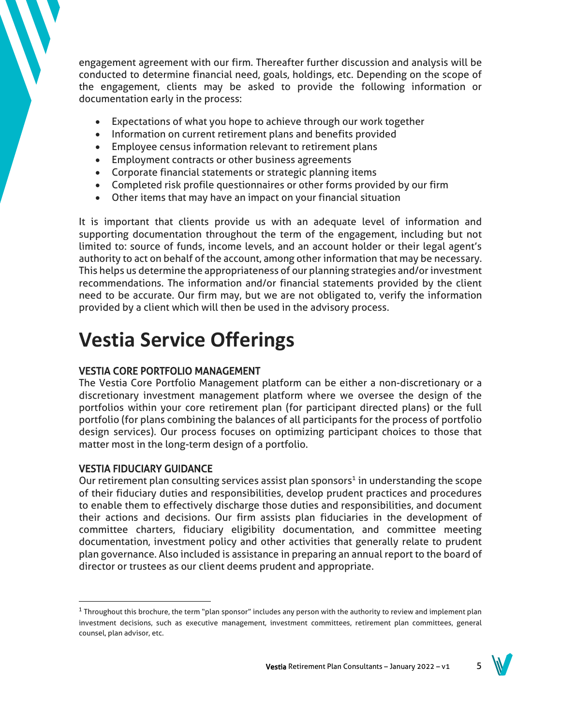engagement agreement with our firm. Thereafter further discussion and analysis will be conducted to determine financial need, goals, holdings, etc. Depending on the scope of the engagement, clients may be asked to provide the following information or documentation early in the process:

- Expectations of what you hope to achieve through our work together
- Information on current retirement plans and benefits provided
- Employee census information relevant to retirement plans
- Employment contracts or other business agreements
- Corporate financial statements or strategic planning items
- Completed risk profile questionnaires or other forms provided by our firm
- Other items that may have an impact on your financial situation

It is important that clients provide us with an adequate level of information and supporting documentation throughout the term of the engagement, including but not limited to: source of funds, income levels, and an account holder or their legal agent's authority to act on behalf of the account, among other information that may be necessary. This helps us determine the appropriateness of our planning strategies and/or investment recommendations. The information and/or financial statements provided by the client need to be accurate. Our firm may, but we are not obligated to, verify the information provided by a client which will then be used in the advisory process.

# **Vestia Service Offerings**

## VESTIA CORE PORTFOLIO MANAGEMENT

The Vestia Core Portfolio Management platform can be either a non-discretionary or a discretionary investment management platform where we oversee the design of the portfolios within your core retirement plan (for participant directed plans) or the full portfolio (for plans combining the balances of all participants for the process of portfolio design services). Our process focuses on optimizing participant choices to those that matter most in the long-term design of a portfolio.

## VESTIA FIDUCIARY GUIDANCE

Our retirement plan consulting services assist plan sponsors<sup>1</sup> in understanding the scope of their fiduciary duties and responsibilities, develop prudent practices and procedures to enable them to effectively discharge those duties and responsibilities, and document their actions and decisions. Our firm assists plan fiduciaries in the development of committee charters, fiduciary eligibility documentation, and committee meeting documentation, investment policy and other activities that generally relate to prudent plan governance. Also included is assistance in preparing an annual report to the board of director or trustees as our client deems prudent and appropriate.

<sup>&</sup>lt;sup>1</sup> Throughout this brochure, the term "plan sponsor" includes any person with the authority to review and implement plan investment decisions, such as executive management, investment committees, retirement plan committees, general counsel, plan advisor, etc.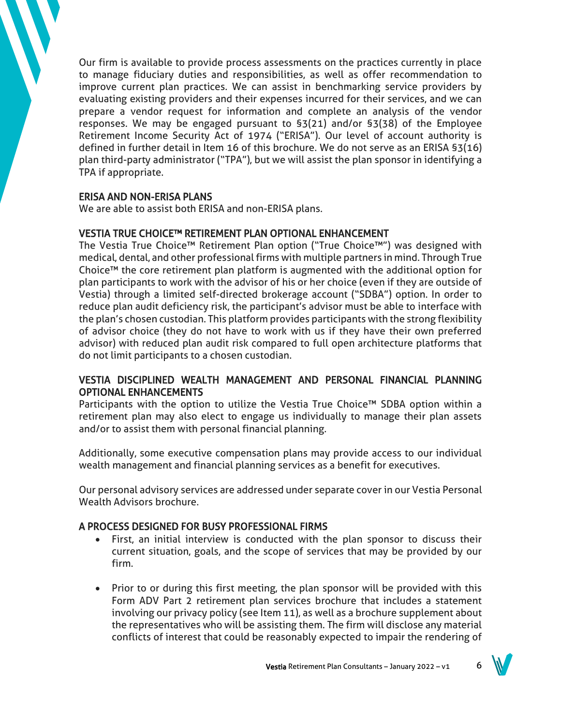Our firm is available to provide process assessments on the practices currently in place to manage fiduciary duties and responsibilities, as well as offer recommendation to improve current plan practices. We can assist in benchmarking service providers by evaluating existing providers and their expenses incurred for their services, and we can prepare a vendor request for information and complete an analysis of the vendor responses. We may be engaged pursuant to §3(21) and/or §3(38) of the Employee Retirement Income Security Act of 1974 ("ERISA"). Our level of account authority is defined in further detail in Item 16 of this brochure. We do not serve as an ERISA §3(16) plan third-party administrator ("TPA"), but we will assist the plan sponsor in identifying a TPA if appropriate.

## ERISA AND NON-ERISA PLANS

We are able to assist both ERISA and non-ERISA plans.

## VESTIA TRUE CHOICE™ RETIREMENT PLAN OPTIONAL ENHANCEMENT

The Vestia True Choice™ Retirement Plan option ("True Choice™") was designed with medical, dental, and other professional firms with multiple partners in mind. Through True Choice™ the core retirement plan platform is augmented with the additional option for plan participants to work with the advisor of his or her choice (even if they are outside of Vestia) through a limited self-directed brokerage account ("SDBA") option. In order to reduce plan audit deficiency risk, the participant's advisor must be able to interface with the plan's chosen custodian. This platform provides participants with the strong flexibility of advisor choice (they do not have to work with us if they have their own preferred advisor) with reduced plan audit risk compared to full open architecture platforms that do not limit participants to a chosen custodian.

## VESTIA DISCIPLINED WEALTH MANAGEMENT AND PERSONAL FINANCIAL PLANNING OPTIONAL ENHANCEMENTS

Participants with the option to utilize the Vestia True Choice™ SDBA option within a retirement plan may also elect to engage us individually to manage their plan assets and/or to assist them with personal financial planning.

Additionally, some executive compensation plans may provide access to our individual wealth management and financial planning services as a benefit for executives.

Our personal advisory services are addressed under separate cover in our Vestia Personal Wealth Advisors brochure.

## A PROCESS DESIGNED FOR BUSY PROFESSIONAL FIRMS

- First, an initial interview is conducted with the plan sponsor to discuss their current situation, goals, and the scope of services that may be provided by our firm.
- Prior to or during this first meeting, the plan sponsor will be provided with this Form ADV Part 2 retirement plan services brochure that includes a statement involving our privacy policy (see Item 11), as well as a brochure supplement about the representatives who will be assisting them. The firm will disclose any material conflicts of interest that could be reasonably expected to impair the rendering of

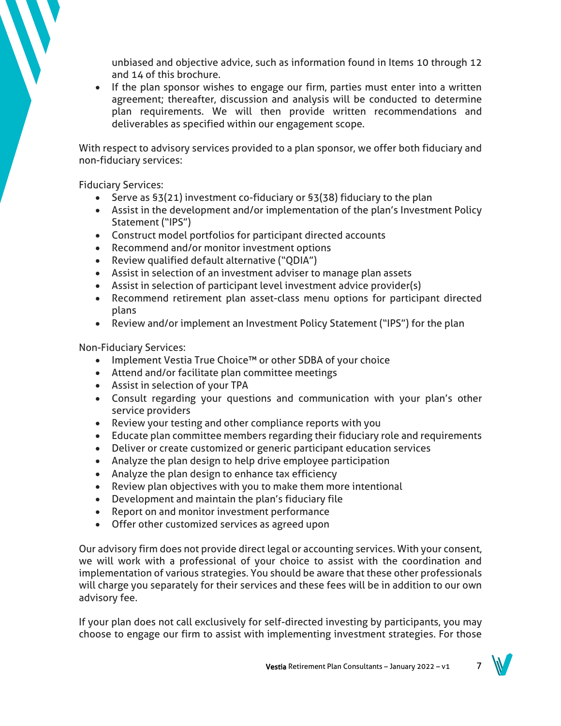unbiased and objective advice, such as information found in Items 10 through 12 and 14 of this brochure.

• If the plan sponsor wishes to engage our firm, parties must enter into a written agreement; thereafter, discussion and analysis will be conducted to determine plan requirements. We will then provide written recommendations and deliverables as specified within our engagement scope.

With respect to advisory services provided to a plan sponsor, we offer both fiduciary and non-fiduciary services:

Fiduciary Services:

- Serve as §3(21) investment co-fiduciary or §3(38) fiduciary to the plan
- Assist in the development and/or implementation of the plan's Investment Policy Statement ("IPS")
- Construct model portfolios for participant directed accounts
- Recommend and/or monitor investment options
- Review qualified default alternative ("QDIA")
- Assist in selection of an investment adviser to manage plan assets
- Assist in selection of participant level investment advice provider(s)
- Recommend retirement plan asset-class menu options for participant directed plans
- Review and/or implement an Investment Policy Statement ("IPS") for the plan

Non-Fiduciary Services:

- Implement Vestia True Choice™ or other SDBA of your choice
- Attend and/or facilitate plan committee meetings
- Assist in selection of your TPA
- Consult regarding your questions and communication with your plan's other service providers
- Review your testing and other compliance reports with you
- Educate plan committee members regarding their fiduciary role and requirements
- Deliver or create customized or generic participant education services
- Analyze the plan design to help drive employee participation
- Analyze the plan design to enhance tax efficiency
- Review plan objectives with you to make them more intentional
- Development and maintain the plan's fiduciary file
- Report on and monitor investment performance
- Offer other customized services as agreed upon

Our advisory firm does not provide direct legal or accounting services. With your consent, we will work with a professional of your choice to assist with the coordination and implementation of various strategies. You should be aware that these other professionals will charge you separately for their services and these fees will be in addition to our own advisory fee.

If your plan does not call exclusively for self-directed investing by participants, you may choose to engage our firm to assist with implementing investment strategies. For those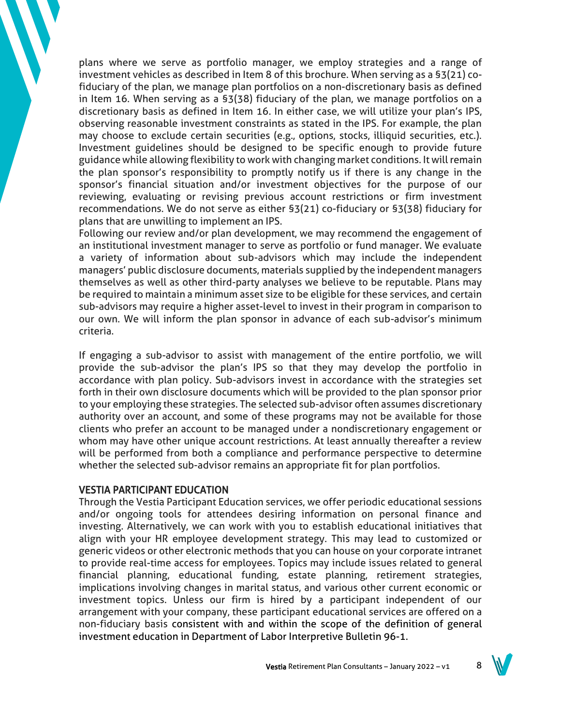plans where we serve as portfolio manager, we employ strategies and a range of investment vehicles as described in Item 8 of this brochure. When serving as a §3(21) cofiduciary of the plan, we manage plan portfolios on a non-discretionary basis as defined in Item 16. When serving as a §3(38) fiduciary of the plan, we manage portfolios on a discretionary basis as defined in Item 16. In either case, we will utilize your plan's IPS, observing reasonable investment constraints as stated in the IPS. For example, the plan may choose to exclude certain securities (e.g., options, stocks, illiquid securities, etc.). Investment guidelines should be designed to be specific enough to provide future guidance while allowing flexibility to work with changing market conditions. It will remain the plan sponsor's responsibility to promptly notify us if there is any change in the sponsor's financial situation and/or investment objectives for the purpose of our reviewing, evaluating or revising previous account restrictions or firm investment recommendations. We do not serve as either §3(21) co-fiduciary or §3(38) fiduciary for plans that are unwilling to implement an IPS.

Following our review and/or plan development, we may recommend the engagement of an institutional investment manager to serve as portfolio or fund manager. We evaluate a variety of information about sub-advisors which may include the independent managers' public disclosure documents, materials supplied by the independent managers themselves as well as other third-party analyses we believe to be reputable. Plans may be required to maintain a minimum asset size to be eligible for these services, and certain sub-advisors may require a higher asset-level to invest in their program in comparison to our own. We will inform the plan sponsor in advance of each sub-advisor's minimum criteria.

If engaging a sub-advisor to assist with management of the entire portfolio, we will provide the sub-advisor the plan's IPS so that they may develop the portfolio in accordance with plan policy. Sub-advisors invest in accordance with the strategies set forth in their own disclosure documents which will be provided to the plan sponsor prior to your employing these strategies. The selected sub-advisor often assumes discretionary authority over an account, and some of these programs may not be available for those clients who prefer an account to be managed under a nondiscretionary engagement or whom may have other unique account restrictions. At least annually thereafter a review will be performed from both a compliance and performance perspective to determine whether the selected sub-advisor remains an appropriate fit for plan portfolios.

#### VESTIA PARTICIPANT EDUCATION

Through the Vestia Participant Education services, we offer periodic educational sessions and/or ongoing tools for attendees desiring information on personal finance and investing. Alternatively, we can work with you to establish educational initiatives that align with your HR employee development strategy. This may lead to customized or generic videos or other electronic methods that you can house on your corporate intranet to provide real-time access for employees. Topics may include issues related to general financial planning, educational funding, estate planning, retirement strategies, implications involving changes in marital status, and various other current economic or investment topics. Unless our firm is hired by a participant independent of our arrangement with your company, these participant educational services are offered on a non-fiduciary basis consistent with and within the scope of the definition of general investment education in Department of Labor Interpretive Bulletin 96-1.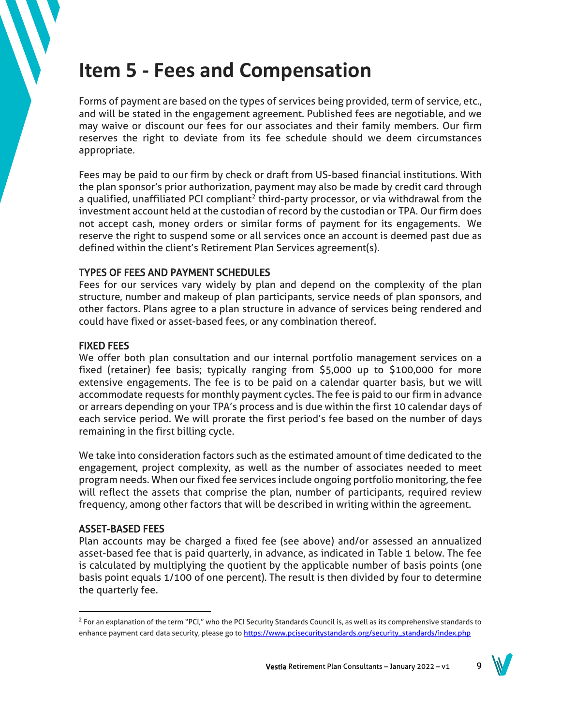## **Item 5 - Fees and Compensation**

Forms of payment are based on the types of services being provided, term of service, etc., and will be stated in the engagement agreement. Published fees are negotiable, and we may waive or discount our fees for our associates and their family members. Our firm reserves the right to deviate from its fee schedule should we deem circumstances appropriate.

Fees may be paid to our firm by check or draft from US-based financial institutions. With the plan sponsor's prior authorization, payment may also be made by credit card through a qualified, unaffiliated PCI compliant<sup>2</sup> third-party processor, or via withdrawal from the investment account held at the custodian of record by the custodian or TPA. Our firm does not accept cash, money orders or similar forms of payment for its engagements. We reserve the right to suspend some or all services once an account is deemed past due as defined within the client's Retirement Plan Services agreement(s).

## TYPES OF FEES AND PAYMENT SCHEDULES

Fees for our services vary widely by plan and depend on the complexity of the plan structure, number and makeup of plan participants, service needs of plan sponsors, and other factors. Plans agree to a plan structure in advance of services being rendered and could have fixed or asset-based fees, or any combination thereof.

## FIXED FEES

We offer both plan consultation and our internal portfolio management services on a fixed (retainer) fee basis; typically ranging from \$5,000 up to \$100,000 for more extensive engagements. The fee is to be paid on a calendar quarter basis, but we will accommodate requests for monthly payment cycles. The fee is paid to our firm in advance or arrears depending on your TPA's process and is due within the first 10 calendar days of each service period. We will prorate the first period's fee based on the number of days remaining in the first billing cycle.

We take into consideration factors such as the estimated amount of time dedicated to the engagement, project complexity, as well as the number of associates needed to meet program needs. When our fixed fee services include ongoing portfolio monitoring, the fee will reflect the assets that comprise the plan, number of participants, required review frequency, among other factors that will be described in writing within the agreement.

## ASSET-BASED FEES

Plan accounts may be charged a fixed fee (see above) and/or assessed an annualized asset-based fee that is paid quarterly, in advance, as indicated in Table 1 below. The fee is calculated by multiplying the quotient by the applicable number of basis points (one basis point equals 1/100 of one percent). The result is then divided by four to determine the quarterly fee.



 $^2$  For an explanation of the term "PCI," who the PCI Security Standards Council is, as well as its comprehensive standards to enhance payment card data security, please go t[o https://www.pcisecuritystandards.org/security\\_standards/index.php](https://www.pcisecuritystandards.org/security_standards/index.php)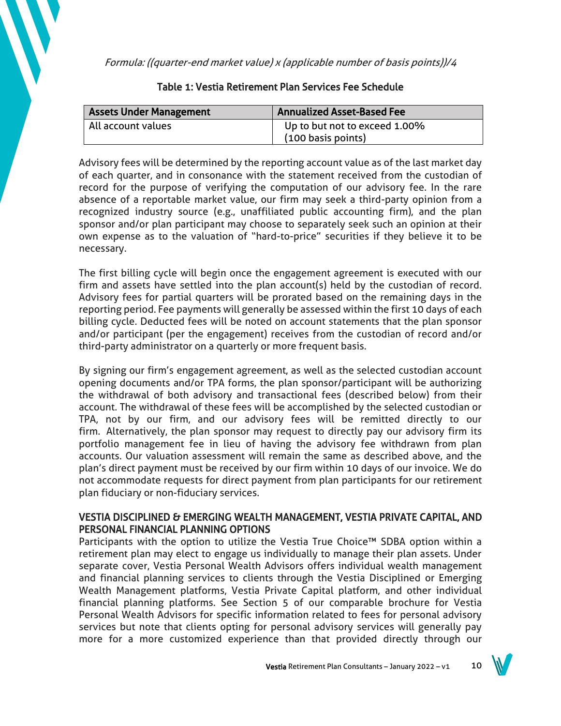Formula: ((quarter-end market value) x (applicable number of basis points))/4

| <b>Assets Under Management</b> | <b>Annualized Asset-Based Fee</b> |
|--------------------------------|-----------------------------------|
| All account values             | Up to but not to exceed 1.00%     |
|                                | (100 basis points)                |

## Table 1: Vestia Retirement Plan Services Fee Schedule

Advisory fees will be determined by the reporting account value as of the last market day of each quarter, and in consonance with the statement received from the custodian of record for the purpose of verifying the computation of our advisory fee. In the rare absence of a reportable market value, our firm may seek a third-party opinion from a recognized industry source (e.g., unaffiliated public accounting firm), and the plan sponsor and/or plan participant may choose to separately seek such an opinion at their own expense as to the valuation of "hard-to-price" securities if they believe it to be necessary.

The first billing cycle will begin once the engagement agreement is executed with our firm and assets have settled into the plan account(s) held by the custodian of record. Advisory fees for partial quarters will be prorated based on the remaining days in the reporting period. Fee payments will generally be assessed within the first 10 days of each billing cycle. Deducted fees will be noted on account statements that the plan sponsor and/or participant (per the engagement) receives from the custodian of record and/or third-party administrator on a quarterly or more frequent basis.

By signing our firm's engagement agreement, as well as the selected custodian account opening documents and/or TPA forms, the plan sponsor/participant will be authorizing the withdrawal of both advisory and transactional fees (described below) from their account. The withdrawal of these fees will be accomplished by the selected custodian or TPA, not by our firm, and our advisory fees will be remitted directly to our firm. Alternatively, the plan sponsor may request to directly pay our advisory firm its portfolio management fee in lieu of having the advisory fee withdrawn from plan accounts. Our valuation assessment will remain the same as described above, and the plan's direct payment must be received by our firm within 10 days of our invoice. We do not accommodate requests for direct payment from plan participants for our retirement plan fiduciary or non-fiduciary services.

## VESTIA DISCIPLINED & EMERGING WEALTH MANAGEMENT, VESTIA PRIVATE CAPITAL, AND PERSONAL FINANCIAL PLANNING OPTIONS

Participants with the option to utilize the Vestia True Choice™ SDBA option within a retirement plan may elect to engage us individually to manage their plan assets. Under separate cover, Vestia Personal Wealth Advisors offers individual wealth management and financial planning services to clients through the Vestia Disciplined or Emerging Wealth Management platforms, Vestia Private Capital platform, and other individual financial planning platforms. See Section 5 of our comparable brochure for Vestia Personal Wealth Advisors for specific information related to fees for personal advisory services but note that clients opting for personal advisory services will generally pay more for a more customized experience than that provided directly through our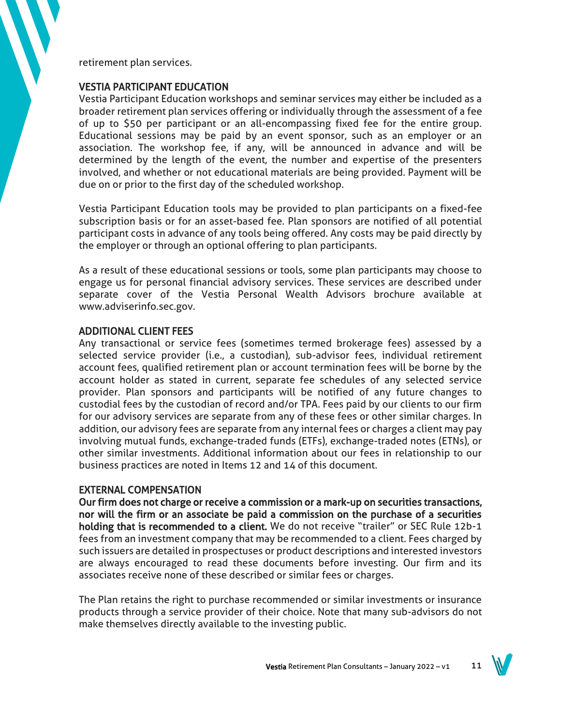retirement plan services.

## VESTIA PARTICIPANT EDUCATION

Vestia Participant Education workshops and seminar services may either be included as a broader retirement plan services offering or individually through the assessment of a fee of up to \$50 per participant or an all-encompassing fixed fee for the entire group. Educational sessions may be paid by an event sponsor, such as an employer or an association. The workshop fee, if any, will be announced in advance and will be determined by the length of the event, the number and expertise of the presenters involved, and whether or not educational materials are being provided. Payment will be due on or prior to the first day of the scheduled workshop.

Vestia Participant Education tools may be provided to plan participants on a fixed-fee subscription basis or for an asset-based fee. Plan sponsors are notified of all potential participant costs in advance of any tools being offered. Any costs may be paid directly by the employer or through an optional offering to plan participants.

As a result of these educational sessions or tools, some plan participants may choose to engage us for personal financial advisory services. These services are described under separate cover of the Vestia Personal Wealth Advisors brochure available at www.adviserinfo.sec.gov.

## ADDITIONAL CLIENT FEES

Any transactional or service fees (sometimes termed brokerage fees) assessed by a selected service provider (i.e., a custodian), sub-advisor fees, individual retirement account fees, qualified retirement plan or account termination fees will be borne by the account holder as stated in current, separate fee schedules of any selected service provider. Plan sponsors and participants will be notified of any future changes to custodial fees by the custodian of record and/or TPA. Fees paid by our clients to our firm for our advisory services are separate from any of these fees or other similar charges. In addition, our advisory fees are separate from any internal fees or charges a client may pay involving mutual funds, exchange-traded funds (ETFs), exchange-traded notes (ETNs), or other similar investments. Additional information about our fees in relationship to our business practices are noted in Items 12 and 14 of this document.

## EXTERNAL COMPENSATION

Our firm does not charge or receive a commission or a mark-up on securities transactions, nor will the firm or an associate be paid a commission on the purchase of a securities holding that is recommended to a client. We do not receive "trailer" or SEC Rule 12b-1 fees from an investment company that may be recommended to a client. Fees charged by such issuers are detailed in prospectuses or product descriptions and interested investors are always encouraged to read these documents before investing. Our firm and its associates receive none of these described or similar fees or charges.

The Plan retains the right to purchase recommended or similar investments or insurance products through a service provider of their choice. Note that many sub-advisors do not make themselves directly available to the investing public.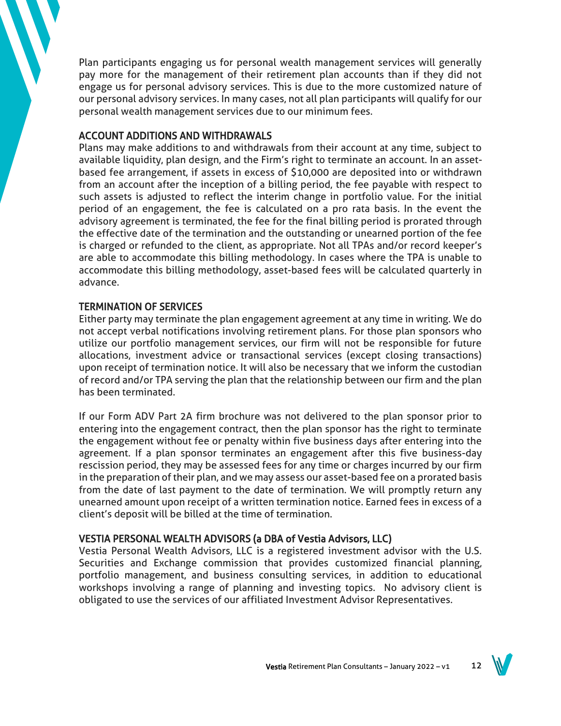Plan participants engaging us for personal wealth management services will generally pay more for the management of their retirement plan accounts than if they did not engage us for personal advisory services. This is due to the more customized nature of our personal advisory services. In many cases, not all plan participants will qualify for our personal wealth management services due to our minimum fees.

## ACCOUNT ADDITIONS AND WITHDRAWALS

Plans may make additions to and withdrawals from their account at any time, subject to available liquidity, plan design, and the Firm's right to terminate an account. In an assetbased fee arrangement, if assets in excess of \$10,000 are deposited into or withdrawn from an account after the inception of a billing period, the fee payable with respect to such assets is adjusted to reflect the interim change in portfolio value. For the initial period of an engagement, the fee is calculated on a pro rata basis. In the event the advisory agreement is terminated, the fee for the final billing period is prorated through the effective date of the termination and the outstanding or unearned portion of the fee is charged or refunded to the client, as appropriate. Not all TPAs and/or record keeper's are able to accommodate this billing methodology. In cases where the TPA is unable to accommodate this billing methodology, asset-based fees will be calculated quarterly in advance.

## TERMINATION OF SERVICES

Either party may terminate the plan engagement agreement at any time in writing. We do not accept verbal notifications involving retirement plans. For those plan sponsors who utilize our portfolio management services, our firm will not be responsible for future allocations, investment advice or transactional services (except closing transactions) upon receipt of termination notice. It will also be necessary that we inform the custodian of record and/or TPA serving the plan that the relationship between our firm and the plan has been terminated.

If our Form ADV Part 2A firm brochure was not delivered to the plan sponsor prior to entering into the engagement contract, then the plan sponsor has the right to terminate the engagement without fee or penalty within five business days after entering into the agreement. If a plan sponsor terminates an engagement after this five business-day rescission period, they may be assessed fees for any time or charges incurred by our firm in the preparation of their plan, and we may assess our asset-based fee on a prorated basis from the date of last payment to the date of termination. We will promptly return any unearned amount upon receipt of a written termination notice. Earned fees in excess of a client's deposit will be billed at the time of termination.

## VESTIA PERSONAL WEALTH ADVISORS (a DBA of Vestia Advisors, LLC)

Vestia Personal Wealth Advisors, LLC is a registered investment advisor with the U.S. Securities and Exchange commission that provides customized financial planning, portfolio management, and business consulting services, in addition to educational workshops involving a range of planning and investing topics. No advisory client is obligated to use the services of our affiliated Investment Advisor Representatives.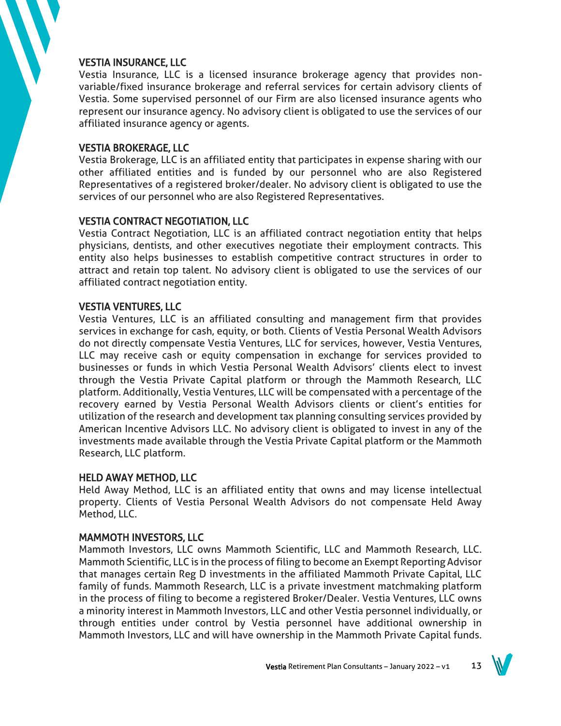## VESTIA INSURANCE, LLC

Vestia Insurance, LLC is a licensed insurance brokerage agency that provides nonvariable/fixed insurance brokerage and referral services for certain advisory clients of Vestia. Some supervised personnel of our Firm are also licensed insurance agents who represent our insurance agency. No advisory client is obligated to use the services of our affiliated insurance agency or agents.

## VESTIA BROKERAGE, LLC

Vestia Brokerage, LLC is an affiliated entity that participates in expense sharing with our other affiliated entities and is funded by our personnel who are also Registered Representatives of a registered broker/dealer. No advisory client is obligated to use the services of our personnel who are also Registered Representatives.

## VESTIA CONTRACT NEGOTIATION, LLC

Vestia Contract Negotiation, LLC is an affiliated contract negotiation entity that helps physicians, dentists, and other executives negotiate their employment contracts. This entity also helps businesses to establish competitive contract structures in order to attract and retain top talent. No advisory client is obligated to use the services of our affiliated contract negotiation entity.

## VESTIA VENTURES, LLC

Vestia Ventures, LLC is an affiliated consulting and management firm that provides services in exchange for cash, equity, or both. Clients of Vestia Personal Wealth Advisors do not directly compensate Vestia Ventures, LLC for services, however, Vestia Ventures, LLC may receive cash or equity compensation in exchange for services provided to businesses or funds in which Vestia Personal Wealth Advisors' clients elect to invest through the Vestia Private Capital platform or through the Mammoth Research, LLC platform. Additionally, Vestia Ventures, LLC will be compensated with a percentage of the recovery earned by Vestia Personal Wealth Advisors clients or client's entities for utilization of the research and development tax planning consulting services provided by American Incentive Advisors LLC. No advisory client is obligated to invest in any of the investments made available through the Vestia Private Capital platform or the Mammoth Research, LLC platform.

#### HELD AWAY METHOD, LLC

Held Away Method, LLC is an affiliated entity that owns and may license intellectual property. Clients of Vestia Personal Wealth Advisors do not compensate Held Away Method, LLC.

#### MAMMOTH INVESTORS, LLC

Mammoth Investors, LLC owns Mammoth Scientific, LLC and Mammoth Research, LLC. Mammoth Scientific, LLC is in the process of filing to become an Exempt Reporting Advisor that manages certain Reg D investments in the affiliated Mammoth Private Capital, LLC family of funds. Mammoth Research, LLC is a private investment matchmaking platform in the process of filing to become a registered Broker/Dealer. Vestia Ventures, LLC owns a minority interest in Mammoth Investors, LLC and other Vestia personnel individually, or through entities under control by Vestia personnel have additional ownership in Mammoth Investors, LLC and will have ownership in the Mammoth Private Capital funds.

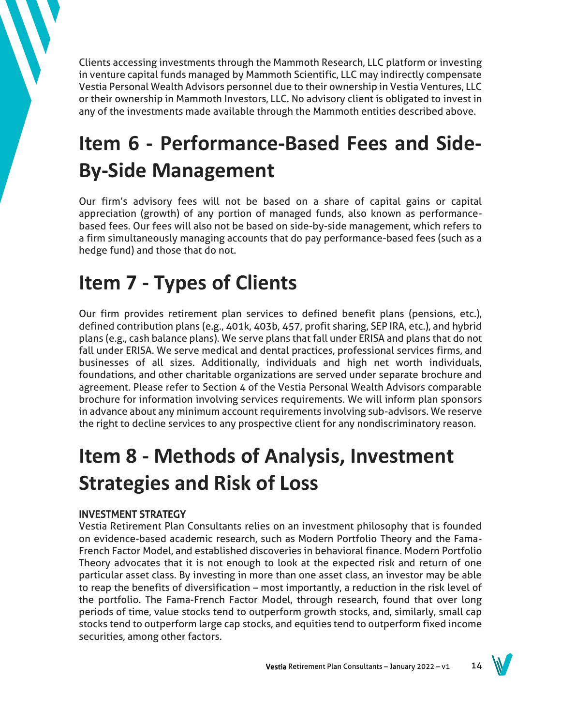Clients accessing investments through the Mammoth Research, LLC platform or investing in venture capital funds managed by Mammoth Scientific, LLC may indirectly compensate Vestia Personal Wealth Advisors personnel due to their ownership in Vestia Ventures, LLC or their ownership in Mammoth Investors, LLC. No advisory client is obligated to invest in any of the investments made available through the Mammoth entities described above.

# **Item 6 - Performance-Based Fees and Side-By-Side Management**

Our firm's advisory fees will not be based on a share of capital gains or capital appreciation (growth) of any portion of managed funds, also known as performancebased fees. Our fees will also not be based on side-by-side management, which refers to a firm simultaneously managing accounts that do pay performance-based fees (such as a hedge fund) and those that do not.

## **Item 7 - Types of Clients**

Our firm provides retirement plan services to defined benefit plans (pensions, etc.), defined contribution plans (e.g., 401k, 403b, 457, profit sharing, SEP IRA, etc.), and hybrid plans (e.g., cash balance plans). We serve plans that fall under ERISA and plans that do not fall under ERISA. We serve medical and dental practices, professional services firms, and businesses of all sizes. Additionally, individuals and high net worth individuals, foundations, and other charitable organizations are served under separate brochure and agreement. Please refer to Section 4 of the Vestia Personal Wealth Advisors comparable brochure for information involving services requirements. We will inform plan sponsors in advance about any minimum account requirements involving sub-advisors. We reserve the right to decline services to any prospective client for any nondiscriminatory reason.

# **Item 8 - Methods of Analysis, Investment Strategies and Risk of Loss**

## INVESTMENT STRATEGY

Vestia Retirement Plan Consultants relies on an investment philosophy that is founded on evidence-based academic research, such as Modern Portfolio Theory and the Fama-French Factor Model, and established discoveries in behavioral finance. Modern Portfolio Theory advocates that it is not enough to look at the expected risk and return of one particular asset class. By investing in more than one asset class, an investor may be able to reap the benefits of diversification – most importantly, a reduction in the risk level of the portfolio. The Fama-French Factor Model, through research, found that over long periods of time, value stocks tend to outperform growth stocks, and, similarly, small cap stocks tend to outperform large cap stocks, and equities tend to outperform fixed income securities, among other factors.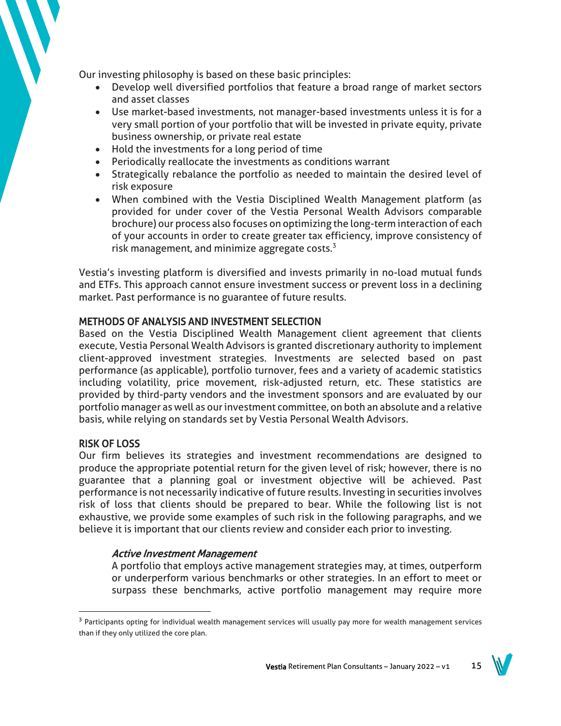Our investing philosophy is based on these basic principles:

- Develop well diversified portfolios that feature a broad range of market sectors and asset classes
- Use market-based investments, not manager-based investments unless it is for a very small portion of your portfolio that will be invested in private equity, private business ownership, or private real estate
- Hold the investments for a long period of time
- Periodically reallocate the investments as conditions warrant
- Strategically rebalance the portfolio as needed to maintain the desired level of risk exposure
- When combined with the Vestia Disciplined Wealth Management platform (as provided for under cover of the Vestia Personal Wealth Advisors comparable brochure) our process also focuses on optimizing the long-term interaction of each of your accounts in order to create greater tax efficiency, improve consistency of risk management, and minimize aggregate costs. $3$

Vestia's investing platform is diversified and invests primarily in no-load mutual funds and ETFs. This approach cannot ensure investment success or prevent loss in a declining market. Past performance is no guarantee of future results.

## METHODS OF ANALYSIS AND INVESTMENT SELECTION

Based on the Vestia Disciplined Wealth Management client agreement that clients execute, Vestia Personal Wealth Advisors is granted discretionary authority to implement client-approved investment strategies. Investments are selected based on past performance (as applicable), portfolio turnover, fees and a variety of academic statistics including volatility, price movement, risk-adjusted return, etc. These statistics are provided by third-party vendors and the investment sponsors and are evaluated by our portfolio manager as well as our investment committee, on both an absolute and a relative basis, while relying on standards set by Vestia Personal Wealth Advisors.

#### RISK OF LOSS

Our firm believes its strategies and investment recommendations are designed to produce the appropriate potential return for the given level of risk; however, there is no guarantee that a planning goal or investment objective will be achieved. Past performance is not necessarily indicative of future results. Investing in securities involves risk of loss that clients should be prepared to bear. While the following list is not exhaustive, we provide some examples of such risk in the following paragraphs, and we believe it is important that our clients review and consider each prior to investing.

## Active Investment Management

A portfolio that employs active management strategies may, at times, outperform or underperform various benchmarks or other strategies. In an effort to meet or surpass these benchmarks, active portfolio management may require more

<sup>&</sup>lt;sup>3</sup> Participants opting for individual wealth management services will usually pay more for wealth management services than if they only utilized the core plan.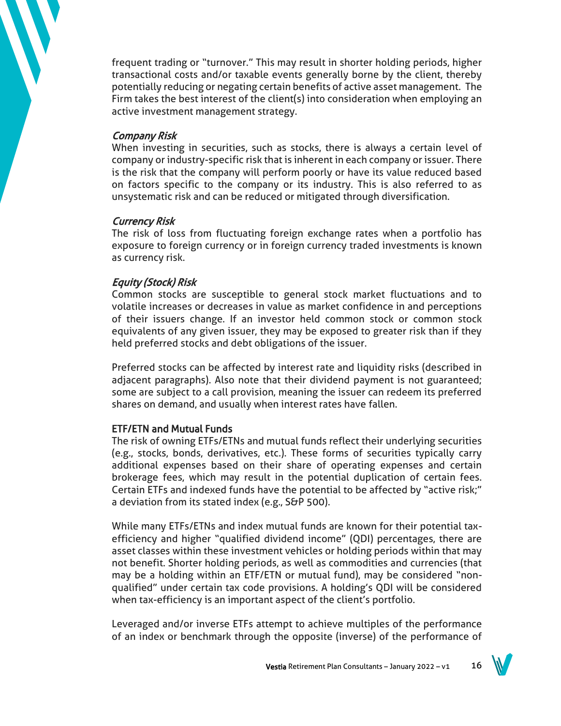frequent trading or "turnover." This may result in shorter holding periods, higher transactional costs and/or taxable events generally borne by the client, thereby potentially reducing or negating certain benefits of active asset management. The Firm takes the best interest of the client(s) into consideration when employing an active investment management strategy.

## Company Risk

When investing in securities, such as stocks, there is always a certain level of company or industry-specific risk that is inherent in each company or issuer. There is the risk that the company will perform poorly or have its value reduced based on factors specific to the company or its industry. This is also referred to as unsystematic risk and can be reduced or mitigated through diversification.

## Currency Risk

The risk of loss from fluctuating foreign exchange rates when a portfolio has exposure to foreign currency or in foreign currency traded investments is known as currency risk.

## Equity (Stock) Risk

Common stocks are susceptible to general stock market fluctuations and to volatile increases or decreases in value as market confidence in and perceptions of their issuers change. If an investor held common stock or common stock equivalents of any given issuer, they may be exposed to greater risk than if they held preferred stocks and debt obligations of the issuer.

Preferred stocks can be affected by interest rate and liquidity risks (described in adjacent paragraphs). Also note that their dividend payment is not guaranteed; some are subject to a call provision, meaning the issuer can redeem its preferred shares on demand, and usually when interest rates have fallen.

## ETF/ETN and Mutual Funds

The risk of owning ETFs/ETNs and mutual funds reflect their underlying securities (e.g., stocks, bonds, derivatives, etc.). These forms of securities typically carry additional expenses based on their share of operating expenses and certain brokerage fees, which may result in the potential duplication of certain fees. Certain ETFs and indexed funds have the potential to be affected by "active risk;" a deviation from its stated index (e.g., S&P 500).

While many ETFs/ETNs and index mutual funds are known for their potential taxefficiency and higher "qualified dividend income" (QDI) percentages, there are asset classes within these investment vehicles or holding periods within that may not benefit. Shorter holding periods, as well as commodities and currencies (that may be a holding within an ETF/ETN or mutual fund), may be considered "nonqualified" under certain tax code provisions. A holding's QDI will be considered when tax-efficiency is an important aspect of the client's portfolio.

Leveraged and/or inverse ETFs attempt to achieve multiples of the performance of an index or benchmark through the opposite (inverse) of the performance of

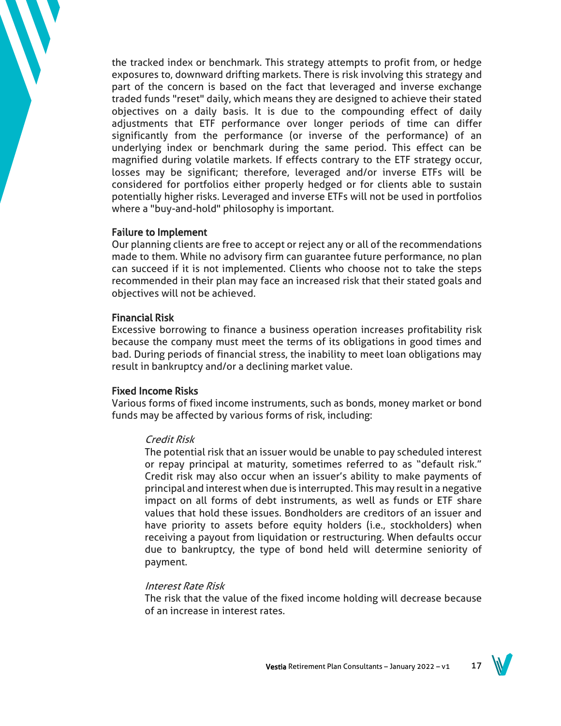the tracked index or benchmark. This strategy attempts to profit from, or hedge exposures to, downward drifting markets. There is risk involving this strategy and part of the concern is based on the fact that leveraged and inverse exchange traded funds "reset" daily, which means they are designed to achieve their stated objectives on a daily basis. It is due to the compounding effect of daily adjustments that ETF performance over longer periods of time can differ significantly from the performance (or inverse of the performance) of an underlying index or benchmark during the same period. This effect can be magnified during volatile markets. If effects contrary to the ETF strategy occur, losses may be significant; therefore, leveraged and/or inverse ETFs will be considered for portfolios either properly hedged or for clients able to sustain potentially higher risks. Leveraged and inverse ETFs will not be used in portfolios where a "buy-and-hold" philosophy is important.

#### Failure to Implement

Our planning clients are free to accept or reject any or all of the recommendations made to them. While no advisory firm can guarantee future performance, no plan can succeed if it is not implemented. Clients who choose not to take the steps recommended in their plan may face an increased risk that their stated goals and objectives will not be achieved.

#### Financial Risk

Excessive borrowing to finance a business operation increases profitability risk because the company must meet the terms of its obligations in good times and bad. During periods of financial stress, the inability to meet loan obligations may result in bankruptcy and/or a declining market value.

### Fixed Income Risks

Various forms of fixed income instruments, such as bonds, money market or bond funds may be affected by various forms of risk, including:

#### Credit Risk

The potential risk that an issuer would be unable to pay scheduled interest or repay principal at maturity, sometimes referred to as "default risk." Credit risk may also occur when an issuer's ability to make payments of principal and interest when due is interrupted. This may result in a negative impact on all forms of debt instruments, as well as funds or ETF share values that hold these issues. Bondholders are creditors of an issuer and have priority to assets before equity holders (i.e., stockholders) when receiving a payout from liquidation or restructuring. When defaults occur due to bankruptcy, the type of bond held will determine seniority of payment.

#### Interest Rate Risk

The risk that the value of the fixed income holding will decrease because of an increase in interest rates.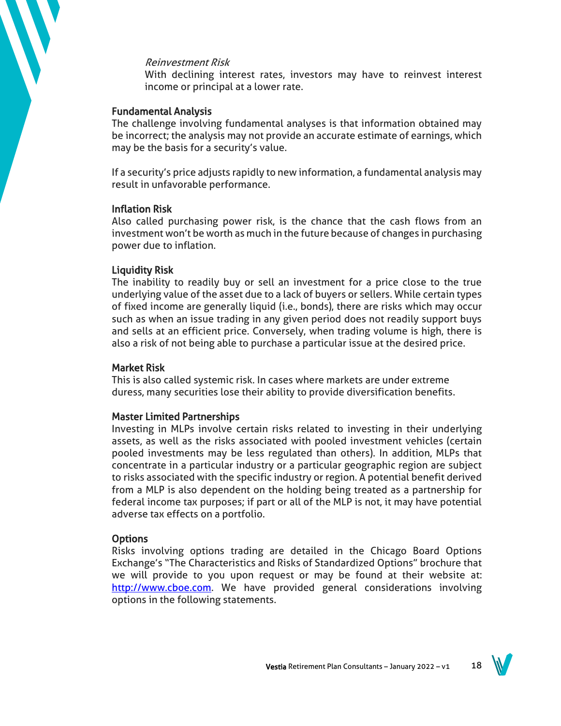#### Reinvestment Risk

With declining interest rates, investors may have to reinvest interest income or principal at a lower rate.

#### Fundamental Analysis

The challenge involving fundamental analyses is that information obtained may be incorrect; the analysis may not provide an accurate estimate of earnings, which may be the basis for a security's value.

If a security's price adjusts rapidly to new information, a fundamental analysis may result in unfavorable performance.

#### Inflation Risk

Also called purchasing power risk, is the chance that the cash flows from an investment won't be worth as much in the future because of changes in purchasing power due to inflation.

#### Liquidity Risk

The inability to readily buy or sell an investment for a price close to the true underlying value of the asset due to a lack of buyers or sellers. While certain types of fixed income are generally liquid (i.e., bonds), there are risks which may occur such as when an issue trading in any given period does not readily support buys and sells at an efficient price. Conversely, when trading volume is high, there is also a risk of not being able to purchase a particular issue at the desired price.

#### Market Risk

This is also called systemic risk. In cases where markets are under extreme duress, many securities lose their ability to provide diversification benefits.

#### Master Limited Partnerships

Investing in MLPs involve certain risks related to investing in their underlying assets, as well as the risks associated with pooled investment vehicles (certain pooled investments may be less regulated than others). In addition, MLPs that concentrate in a particular industry or a particular geographic region are subject to risks associated with the specific industry or region. A potential benefit derived from a MLP is also dependent on the holding being treated as a partnership for federal income tax purposes; if part or all of the MLP is not, it may have potential adverse tax effects on a portfolio.

#### **Options**

Risks involving options trading are detailed in the Chicago Board Options Exchange's "The Characteristics and Risks of Standardized Options" brochure that we will provide to you upon request or may be found at their website at: [http://www.cboe.com.](http://www.cboe.com/) We have provided general considerations involving options in the following statements.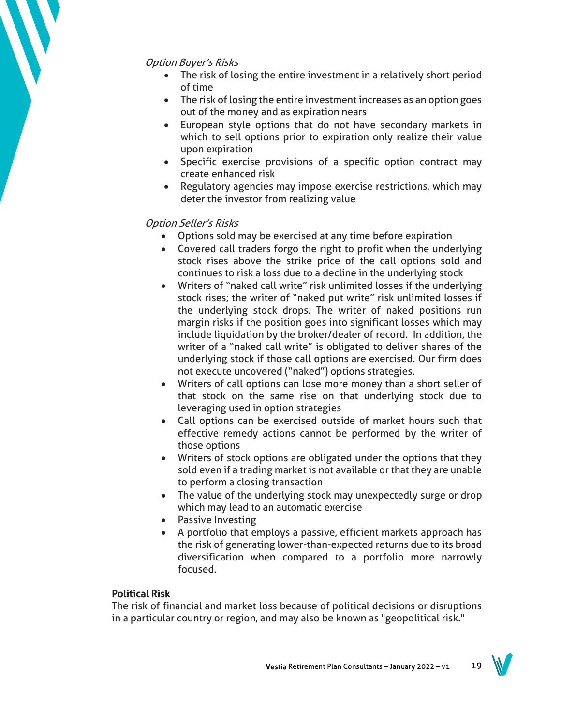## Option Buyer's Risks

- The risk of losing the entire investment in a relatively short period of time
- The risk of losing the entire investment increases as an option goes out of the money and as expiration nears
- European style options that do not have secondary markets in which to sell options prior to expiration only realize their value upon expiration
- Specific exercise provisions of a specific option contract may create enhanced risk
- Regulatory agencies may impose exercise restrictions, which may deter the investor from realizing value

## Option Seller's Risks

- Options sold may be exercised at any time before expiration
- Covered call traders forgo the right to profit when the underlying stock rises above the strike price of the call options sold and continues to risk a loss due to a decline in the underlying stock
- Writers of "naked call write" risk unlimited losses if the underlying stock rises; the writer of "naked put write" risk unlimited losses if the underlying stock drops. The writer of naked positions run margin risks if the position goes into significant losses which may include liquidation by the broker/dealer of record. In addition, the writer of a "naked call write" is obligated to deliver shares of the underlying stock if those call options are exercised. Our firm does not execute uncovered ("naked") options strategies.
- Writers of call options can lose more money than a short seller of that stock on the same rise on that underlying stock due to leveraging used in option strategies
- Call options can be exercised outside of market hours such that effective remedy actions cannot be performed by the writer of those options
- Writers of stock options are obligated under the options that they sold even if a trading market is not available or that they are unable to perform a closing transaction
- The value of the underlying stock may unexpectedly surge or drop which may lead to an automatic exercise
- Passive Investing
- A portfolio that employs a passive, efficient markets approach has the risk of generating lower-than-expected returns due to its broad diversification when compared to a portfolio more narrowly focused.

## Political Risk

The risk of financial and market loss because of political decisions or disruptions in a particular country or region, and may also be known as "geopolitical risk."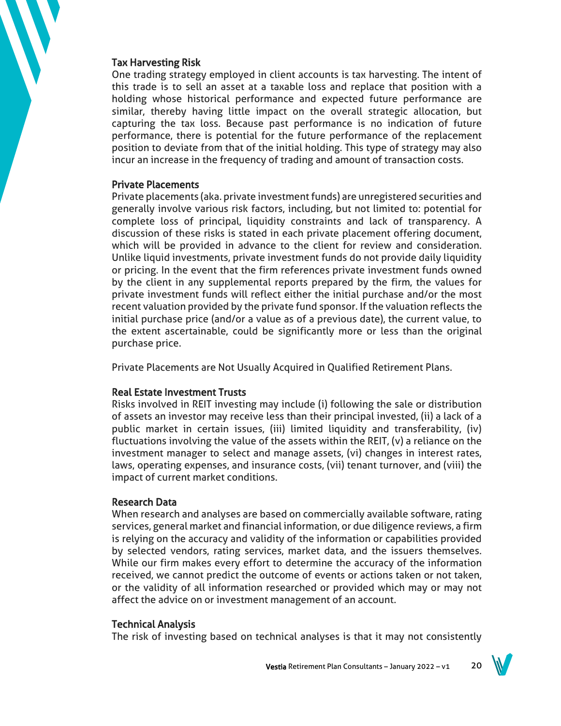#### Tax Harvesting Risk

One trading strategy employed in client accounts is tax harvesting. The intent of this trade is to sell an asset at a taxable loss and replace that position with a holding whose historical performance and expected future performance are similar, thereby having little impact on the overall strategic allocation, but capturing the tax loss. Because past performance is no indication of future performance, there is potential for the future performance of the replacement position to deviate from that of the initial holding. This type of strategy may also incur an increase in the frequency of trading and amount of transaction costs.

#### Private Placements

Private placements (aka. private investment funds) are unregistered securities and generally involve various risk factors, including, but not limited to: potential for complete loss of principal, liquidity constraints and lack of transparency. A discussion of these risks is stated in each private placement offering document, which will be provided in advance to the client for review and consideration. Unlike liquid investments, private investment funds do not provide daily liquidity or pricing. In the event that the firm references private investment funds owned by the client in any supplemental reports prepared by the firm, the values for private investment funds will reflect either the initial purchase and/or the most recent valuation provided by the private fund sponsor. If the valuation reflects the initial purchase price (and/or a value as of a previous date), the current value, to the extent ascertainable, could be significantly more or less than the original purchase price.

Private Placements are Not Usually Acquired in Qualified Retirement Plans.

#### Real Estate Investment Trusts

Risks involved in REIT investing may include (i) following the sale or distribution of assets an investor may receive less than their principal invested, (ii) a lack of a public market in certain issues, (iii) limited liquidity and transferability, (iv) fluctuations involving the value of the assets within the REIT, (v) a reliance on the investment manager to select and manage assets, (vi) changes in interest rates, laws, operating expenses, and insurance costs, (vii) tenant turnover, and (viii) the impact of current market conditions.

#### Research Data

When research and analyses are based on commercially available software, rating services, general market and financial information, or due diligence reviews, a firm is relying on the accuracy and validity of the information or capabilities provided by selected vendors, rating services, market data, and the issuers themselves. While our firm makes every effort to determine the accuracy of the information received, we cannot predict the outcome of events or actions taken or not taken, or the validity of all information researched or provided which may or may not affect the advice on or investment management of an account.

#### Technical Analysis

The risk of investing based on technical analyses is that it may not consistently

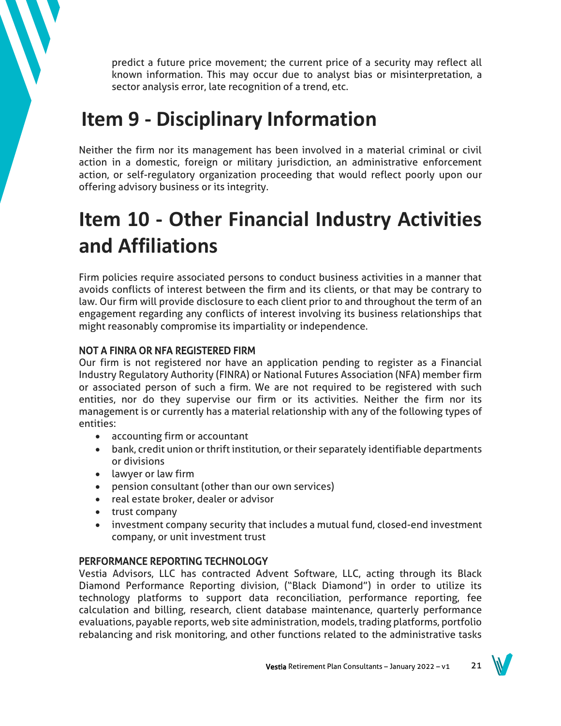predict a future price movement; the current price of a security may reflect all known information. This may occur due to analyst bias or misinterpretation, a sector analysis error, late recognition of a trend, etc.

# **Item 9 - Disciplinary Information**

Neither the firm nor its management has been involved in a material criminal or civil action in a domestic, foreign or military jurisdiction, an administrative enforcement action, or self-regulatory organization proceeding that would reflect poorly upon our offering advisory business or its integrity.

# **Item 10 - Other Financial Industry Activities and Affiliations**

Firm policies require associated persons to conduct business activities in a manner that avoids conflicts of interest between the firm and its clients, or that may be contrary to law. Our firm will provide disclosure to each client prior to and throughout the term of an engagement regarding any conflicts of interest involving its business relationships that might reasonably compromise its impartiality or independence.

## NOT A FINRA OR NFA REGISTERED FIRM

Our firm is not registered nor have an application pending to register as a Financial Industry Regulatory Authority (FINRA) or National Futures Association (NFA) member firm or associated person of such a firm. We are not required to be registered with such entities, nor do they supervise our firm or its activities. Neither the firm nor its management is or currently has a material relationship with any of the following types of entities:

- accounting firm or accountant
- bank, credit union or thrift institution, or their separately identifiable departments or divisions
- lawyer or law firm
- pension consultant (other than our own services)
- real estate broker, dealer or advisor
- trust company
- investment company security that includes a mutual fund, closed-end investment company, or unit investment trust

## PERFORMANCE REPORTING TECHNOLOGY

Vestia Advisors, LLC has contracted Advent Software, LLC, acting through its Black Diamond Performance Reporting division, ("Black Diamond") in order to utilize its technology platforms to support data reconciliation, performance reporting, fee calculation and billing, research, client database maintenance, quarterly performance evaluations, payable reports, web site administration, models, trading platforms, portfolio rebalancing and risk monitoring, and other functions related to the administrative tasks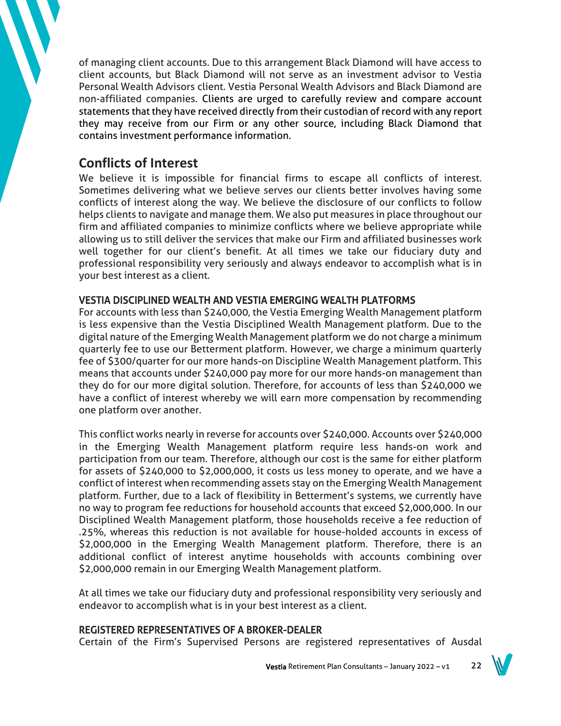of managing client accounts. Due to this arrangement Black Diamond will have access to client accounts, but Black Diamond will not serve as an investment advisor to Vestia Personal Wealth Advisors client. Vestia Personal Wealth Advisors and Black Diamond are non-affiliated companies. Clients are urged to carefully review and compare account statements that they have received directly from their custodian of record with any report they may receive from our Firm or any other source, including Black Diamond that contains investment performance information.

## **Conflicts of Interest**

We believe it is impossible for financial firms to escape all conflicts of interest. Sometimes delivering what we believe serves our clients better involves having some conflicts of interest along the way. We believe the disclosure of our conflicts to follow helps clients to navigate and manage them. We also put measures in place throughout our firm and affiliated companies to minimize conflicts where we believe appropriate while allowing us to still deliver the services that make our Firm and affiliated businesses work well together for our client's benefit. At all times we take our fiduciary duty and professional responsibility very seriously and always endeavor to accomplish what is in your best interest as a client.

## VESTIA DISCIPLINED WEALTH AND VESTIA EMERGING WEALTH PLATFORMS

For accounts with less than \$240,000, the Vestia Emerging Wealth Management platform is less expensive than the Vestia Disciplined Wealth Management platform. Due to the digital nature of the Emerging Wealth Management platform we do not charge a minimum quarterly fee to use our Betterment platform. However, we charge a minimum quarterly fee of \$300/quarter for our more hands-on Discipline Wealth Management platform. This means that accounts under \$240,000 pay more for our more hands-on management than they do for our more digital solution. Therefore, for accounts of less than \$240,000 we have a conflict of interest whereby we will earn more compensation by recommending one platform over another.

This conflict works nearly in reverse for accounts over \$240,000. Accounts over \$240,000 in the Emerging Wealth Management platform require less hands-on work and participation from our team. Therefore, although our cost is the same for either platform for assets of \$240,000 to \$2,000,000, it costs us less money to operate, and we have a conflict of interest when recommending assets stay on the Emerging Wealth Management platform. Further, due to a lack of flexibility in Betterment's systems, we currently have no way to program fee reductions for household accounts that exceed \$2,000,000. In our Disciplined Wealth Management platform, those households receive a fee reduction of .25%, whereas this reduction is not available for house-holded accounts in excess of \$2,000,000 in the Emerging Wealth Management platform. Therefore, there is an additional conflict of interest anytime households with accounts combining over \$2,000,000 remain in our Emerging Wealth Management platform.

At all times we take our fiduciary duty and professional responsibility very seriously and endeavor to accomplish what is in your best interest as a client.

## REGISTERED REPRESENTATIVES OF A BROKER-DEALER

Certain of the Firm's Supervised Persons are registered representatives of Ausdal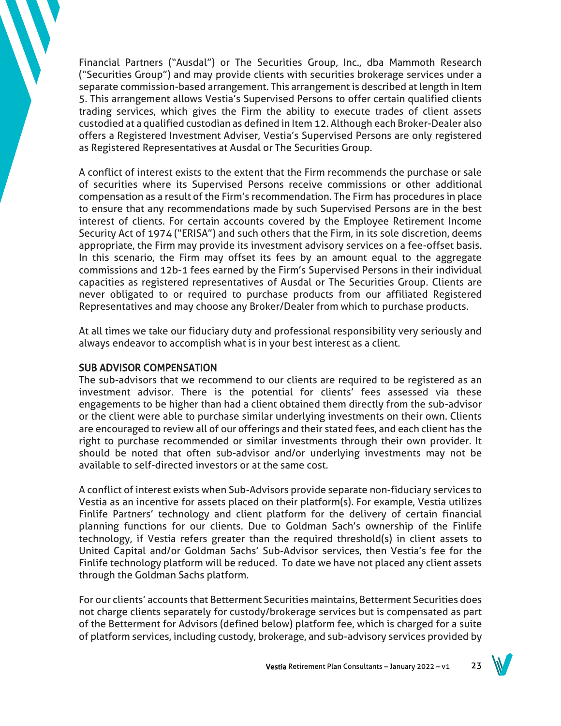Financial Partners ("Ausdal") or The Securities Group, Inc., dba Mammoth Research ("Securities Group") and may provide clients with securities brokerage services under a separate commission-based arrangement. This arrangement is described at length in Item 5. This arrangement allows Vestia's Supervised Persons to offer certain qualified clients trading services, which gives the Firm the ability to execute trades of client assets custodied at a qualified custodian as defined in Item 12. Although each Broker-Dealer also offers a Registered Investment Adviser, Vestia's Supervised Persons are only registered as Registered Representatives at Ausdal or The Securities Group.

A conflict of interest exists to the extent that the Firm recommends the purchase or sale of securities where its Supervised Persons receive commissions or other additional compensation as a result of the Firm's recommendation. The Firm has procedures in place to ensure that any recommendations made by such Supervised Persons are in the best interest of clients. For certain accounts covered by the Employee Retirement Income Security Act of 1974 ("ERISA") and such others that the Firm, in its sole discretion, deems appropriate, the Firm may provide its investment advisory services on a fee-offset basis. In this scenario, the Firm may offset its fees by an amount equal to the aggregate commissions and 12b-1 fees earned by the Firm's Supervised Persons in their individual capacities as registered representatives of Ausdal or The Securities Group. Clients are never obligated to or required to purchase products from our affiliated Registered Representatives and may choose any Broker/Dealer from which to purchase products.

At all times we take our fiduciary duty and professional responsibility very seriously and always endeavor to accomplish what is in your best interest as a client.

## SUB ADVISOR COMPENSATION

The sub-advisors that we recommend to our clients are required to be registered as an investment advisor. There is the potential for clients' fees assessed via these engagements to be higher than had a client obtained them directly from the sub-advisor or the client were able to purchase similar underlying investments on their own. Clients are encouraged to review all of our offerings and their stated fees, and each client has the right to purchase recommended or similar investments through their own provider. It should be noted that often sub-advisor and/or underlying investments may not be available to self-directed investors or at the same cost.

A conflict of interest exists when Sub-Advisors provide separate non-fiduciary services to Vestia as an incentive for assets placed on their platform(s). For example, Vestia utilizes Finlife Partners' technology and client platform for the delivery of certain financial planning functions for our clients. Due to Goldman Sach's ownership of the Finlife technology, if Vestia refers greater than the required threshold(s) in client assets to United Capital and/or Goldman Sachs' Sub-Advisor services, then Vestia's fee for the Finlife technology platform will be reduced. To date we have not placed any client assets through the Goldman Sachs platform.

For our clients' accounts that Betterment Securities maintains, Betterment Securities does not charge clients separately for custody/brokerage services but is compensated as part of the Betterment for Advisors (defined below) platform fee, which is charged for a suite of platform services, including custody, brokerage, and sub-advisory services provided by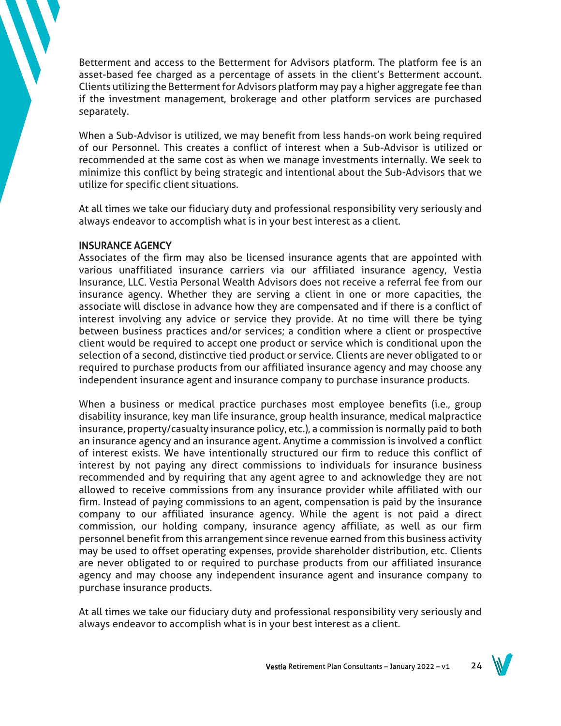Betterment and access to the Betterment for Advisors platform. The platform fee is an asset-based fee charged as a percentage of assets in the client's Betterment account. Clients utilizing the Betterment for Advisors platform may pay a higher aggregate fee than if the investment management, brokerage and other platform services are purchased separately.

When a Sub-Advisor is utilized, we may benefit from less hands-on work being required of our Personnel. This creates a conflict of interest when a Sub-Advisor is utilized or recommended at the same cost as when we manage investments internally. We seek to minimize this conflict by being strategic and intentional about the Sub-Advisors that we utilize for specific client situations.

At all times we take our fiduciary duty and professional responsibility very seriously and always endeavor to accomplish what is in your best interest as a client.

## INSURANCE AGENCY

Associates of the firm may also be licensed insurance agents that are appointed with various unaffiliated insurance carriers via our affiliated insurance agency, Vestia Insurance, LLC. Vestia Personal Wealth Advisors does not receive a referral fee from our insurance agency. Whether they are serving a client in one or more capacities, the associate will disclose in advance how they are compensated and if there is a conflict of interest involving any advice or service they provide. At no time will there be tying between business practices and/or services; a condition where a client or prospective client would be required to accept one product or service which is conditional upon the selection of a second, distinctive tied product or service. Clients are never obligated to or required to purchase products from our affiliated insurance agency and may choose any independent insurance agent and insurance company to purchase insurance products.

When a business or medical practice purchases most employee benefits (i.e., group disability insurance, key man life insurance, group health insurance, medical malpractice insurance, property/casualty insurance policy, etc.), a commission is normally paid to both an insurance agency and an insurance agent. Anytime a commission is involved a conflict of interest exists. We have intentionally structured our firm to reduce this conflict of interest by not paying any direct commissions to individuals for insurance business recommended and by requiring that any agent agree to and acknowledge they are not allowed to receive commissions from any insurance provider while affiliated with our firm. Instead of paying commissions to an agent, compensation is paid by the insurance company to our affiliated insurance agency. While the agent is not paid a direct commission, our holding company, insurance agency affiliate, as well as our firm personnel benefit from this arrangement since revenue earned from this business activity may be used to offset operating expenses, provide shareholder distribution, etc. Clients are never obligated to or required to purchase products from our affiliated insurance agency and may choose any independent insurance agent and insurance company to purchase insurance products.

At all times we take our fiduciary duty and professional responsibility very seriously and always endeavor to accomplish what is in your best interest as a client.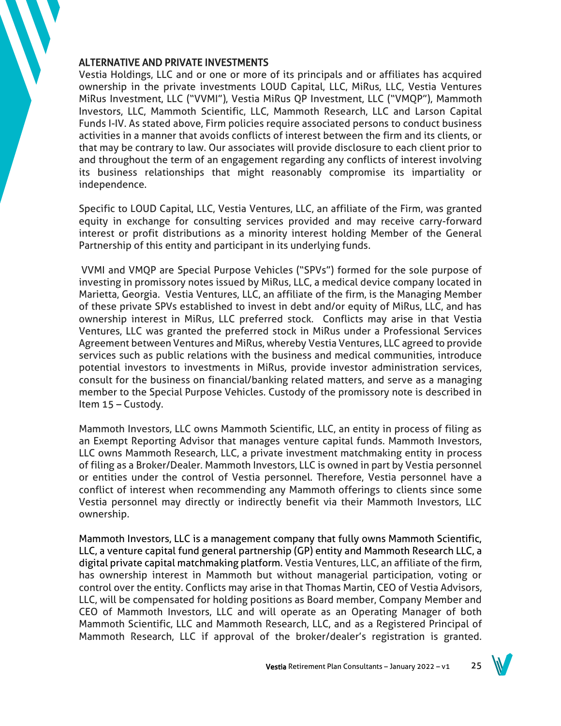## ALTERNATIVE AND PRIVATE INVESTMENTS

Vestia Holdings, LLC and or one or more of its principals and or affiliates has acquired ownership in the private investments LOUD Capital, LLC, MiRus, LLC, Vestia Ventures MiRus Investment, LLC ("VVMI"), Vestia MiRus QP Investment, LLC ("VMQP"), Mammoth Investors, LLC, Mammoth Scientific, LLC, Mammoth Research, LLC and Larson Capital Funds I-IV. As stated above, Firm policies require associated persons to conduct business activities in a manner that avoids conflicts of interest between the firm and its clients, or that may be contrary to law. Our associates will provide disclosure to each client prior to and throughout the term of an engagement regarding any conflicts of interest involving its business relationships that might reasonably compromise its impartiality or independence.

Specific to LOUD Capital, LLC, Vestia Ventures, LLC, an affiliate of the Firm, was granted equity in exchange for consulting services provided and may receive carry-forward interest or profit distributions as a minority interest holding Member of the General Partnership of this entity and participant in its underlying funds.

VVMI and VMQP are Special Purpose Vehicles ("SPVs") formed for the sole purpose of investing in promissory notes issued by MiRus, LLC, a medical device company located in Marietta, Georgia. Vestia Ventures, LLC, an affiliate of the firm, is the Managing Member of these private SPVs established to invest in debt and/or equity of MiRus, LLC, and has ownership interest in MiRus, LLC preferred stock. Conflicts may arise in that Vestia Ventures, LLC was granted the preferred stock in MiRus under a Professional Services Agreement between Ventures and MiRus, whereby Vestia Ventures, LLC agreed to provide services such as public relations with the business and medical communities, introduce potential investors to investments in MiRus, provide investor administration services, consult for the business on financial/banking related matters, and serve as a managing member to the Special Purpose Vehicles. Custody of the promissory note is described in Item 15 – Custody.

Mammoth Investors, LLC owns Mammoth Scientific, LLC, an entity in process of filing as an Exempt Reporting Advisor that manages venture capital funds. Mammoth Investors, LLC owns Mammoth Research, LLC, a private investment matchmaking entity in process of filing as a Broker/Dealer. Mammoth Investors, LLC is owned in part by Vestia personnel or entities under the control of Vestia personnel. Therefore, Vestia personnel have a conflict of interest when recommending any Mammoth offerings to clients since some Vestia personnel may directly or indirectly benefit via their Mammoth Investors, LLC ownership.

Mammoth Investors, LLC is a management company that fully owns Mammoth Scientific, LLC, a venture capital fund general partnership (GP) entity and Mammoth Research LLC, a digital private capital matchmaking platform. Vestia Ventures, LLC, an affiliate of the firm, has ownership interest in Mammoth but without managerial participation, voting or control over the entity. Conflicts may arise in that Thomas Martin, CEO of Vestia Advisors, LLC, will be compensated for holding positions as Board member, Company Member and CEO of Mammoth Investors, LLC and will operate as an Operating Manager of both Mammoth Scientific, LLC and Mammoth Research, LLC, and as a Registered Principal of Mammoth Research, LLC if approval of the broker/dealer's registration is granted.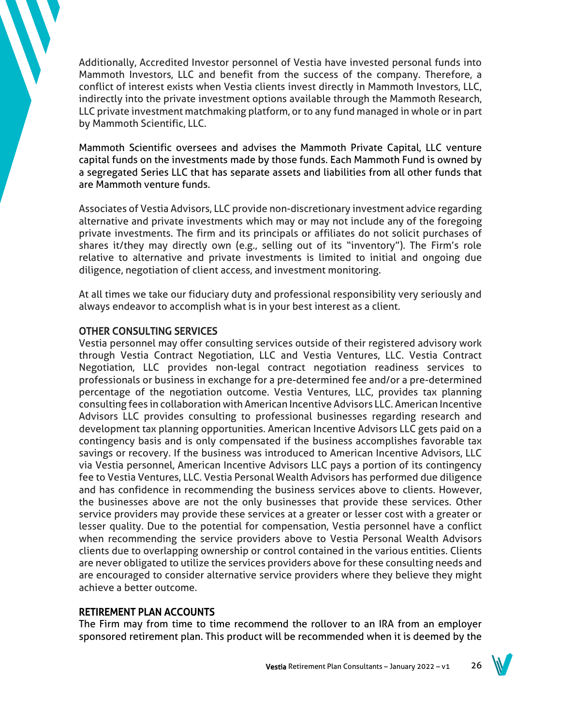Additionally, Accredited Investor personnel of Vestia have invested personal funds into Mammoth Investors, LLC and benefit from the success of the company. Therefore, a conflict of interest exists when Vestia clients invest directly in Mammoth Investors, LLC, indirectly into the private investment options available through the Mammoth Research, LLC private investment matchmaking platform, or to any fund managed in whole or in part by Mammoth Scientific, LLC.

Mammoth Scientific oversees and advises the Mammoth Private Capital, LLC venture capital funds on the investments made by those funds. Each Mammoth Fund is owned by a segregated Series LLC that has separate assets and liabilities from all other funds that are Mammoth venture funds.

Associates of Vestia Advisors, LLC provide non-discretionary investment advice regarding alternative and private investments which may or may not include any of the foregoing private investments. The firm and its principals or affiliates do not solicit purchases of shares it/they may directly own (e.g., selling out of its "inventory"). The Firm's role relative to alternative and private investments is limited to initial and ongoing due diligence, negotiation of client access, and investment monitoring.

At all times we take our fiduciary duty and professional responsibility very seriously and always endeavor to accomplish what is in your best interest as a client.

## OTHER CONSULTING SERVICES

Vestia personnel may offer consulting services outside of their registered advisory work through Vestia Contract Negotiation, LLC and Vestia Ventures, LLC. Vestia Contract Negotiation, LLC provides non-legal contract negotiation readiness services to professionals or business in exchange for a pre-determined fee and/or a pre-determined percentage of the negotiation outcome. Vestia Ventures, LLC, provides tax planning consulting fees in collaboration with American Incentive Advisors LLC. American Incentive Advisors LLC provides consulting to professional businesses regarding research and development tax planning opportunities. American Incentive Advisors LLC gets paid on a contingency basis and is only compensated if the business accomplishes favorable tax savings or recovery. If the business was introduced to American Incentive Advisors, LLC via Vestia personnel, American Incentive Advisors LLC pays a portion of its contingency fee to Vestia Ventures, LLC. Vestia Personal Wealth Advisors has performed due diligence and has confidence in recommending the business services above to clients. However, the businesses above are not the only businesses that provide these services. Other service providers may provide these services at a greater or lesser cost with a greater or lesser quality. Due to the potential for compensation, Vestia personnel have a conflict when recommending the service providers above to Vestia Personal Wealth Advisors clients due to overlapping ownership or control contained in the various entities. Clients are never obligated to utilize the services providers above for these consulting needs and are encouraged to consider alternative service providers where they believe they might achieve a better outcome.

## RETIREMENT PLAN ACCOUNTS

The Firm may from time to time recommend the rollover to an IRA from an employer sponsored retirement plan. This product will be recommended when it is deemed by the

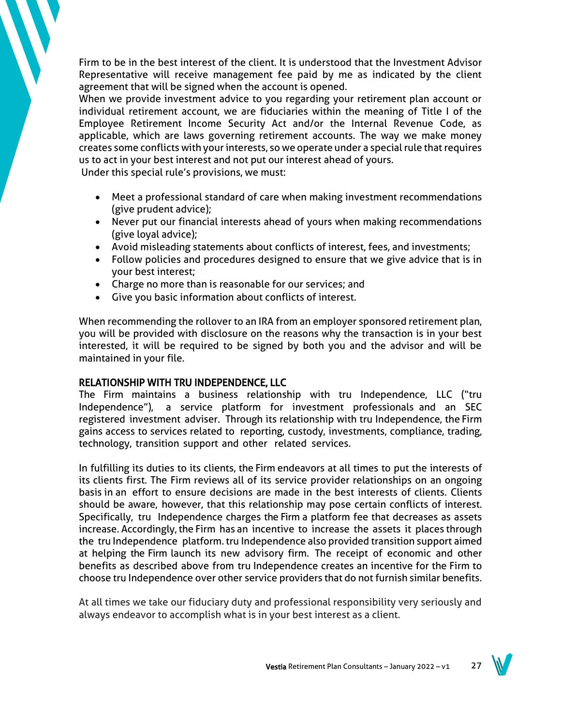Firm to be in the best interest of the client. It is understood that the Investment Advisor Representative will receive management fee paid by me as indicated by the client agreement that will be signed when the account is opened.

When we provide investment advice to you regarding your retirement plan account or individual retirement account, we are fiduciaries within the meaning of Title I of the Employee Retirement Income Security Act and/or the Internal Revenue Code, as applicable, which are laws governing retirement accounts. The way we make money creates some conflicts with your interests, so we operate under a special rule that requires us to act in your best interest and not put our interest ahead of yours.

Under this special rule's provisions, we must:

- Meet a professional standard of care when making investment recommendations (give prudent advice);
- Never put our financial interests ahead of yours when making recommendations (give loyal advice);
- Avoid misleading statements about conflicts of interest, fees, and investments;
- Follow policies and procedures designed to ensure that we give advice that is in your best interest;
- Charge no more than is reasonable for our services; and
- Give you basic information about conflicts of interest.

When recommending the rollover to an IRA from an employer sponsored retirement plan, you will be provided with disclosure on the reasons why the transaction is in your best interested, it will be required to be signed by both you and the advisor and will be maintained in your file.

## RELATIONSHIP WITH TRU INDEPENDENCE, LLC

The Firm maintains a business relationship with tru Independence, LLC ("tru Independence"), a service platform for investment professionals and an SEC registered investment adviser. Through its relationship with tru Independence, the Firm gains access to services related to reporting, custody, investments, compliance, trading, technology, transition support and other related services.

In fulfilling its duties to its clients, the Firm endeavors at all times to put the interests of its clients first. The Firm reviews all of its service provider relationships on an ongoing basis in an effort to ensure decisions are made in the best interests of clients. Clients should be aware, however, that this relationship may pose certain conflicts of interest. Specifically, tru Independence charges the Firm a platform fee that decreases as assets increase. Accordingly, the Firm has an incentive to increase the assets it places through the tru Independence platform. tru Independence also provided transition support aimed at helping the Firm launch its new advisory firm. The receipt of economic and other benefits as described above from tru Independence creates an incentive for the Firm to choose tru Independence over other service providers that do not furnish similar benefits.

At all times we take our fiduciary duty and professional responsibility very seriously and always endeavor to accomplish what is in your best interest as a client.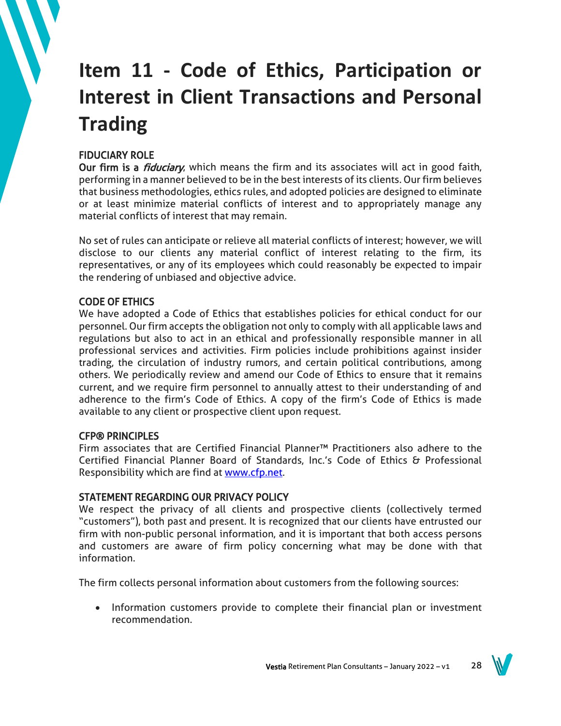# **Item 11 - Code of Ethics, Participation or Interest in Client Transactions and Personal Trading**

## FIDUCIARY ROLE

Our firm is a *fiduciary*, which means the firm and its associates will act in good faith, performing in a manner believed to be in the best interests of its clients. Our firm believes that business methodologies, ethics rules, and adopted policies are designed to eliminate or at least minimize material conflicts of interest and to appropriately manage any material conflicts of interest that may remain.

No set of rules can anticipate or relieve all material conflicts of interest; however, we will disclose to our clients any material conflict of interest relating to the firm, its representatives, or any of its employees which could reasonably be expected to impair the rendering of unbiased and objective advice.

## CODE OF ETHICS

We have adopted a Code of Ethics that establishes policies for ethical conduct for our personnel. Our firm accepts the obligation not only to comply with all applicable laws and regulations but also to act in an ethical and professionally responsible manner in all professional services and activities. Firm policies include prohibitions against insider trading, the circulation of industry rumors, and certain political contributions, among others. We periodically review and amend our Code of Ethics to ensure that it remains current, and we require firm personnel to annually attest to their understanding of and adherence to the firm's Code of Ethics. A copy of the firm's Code of Ethics is made available to any client or prospective client upon request.

## CFP® PRINCIPLES

Firm associates that are Certified Financial Planner™ Practitioners also adhere to the Certified Financial Planner Board of Standards, Inc.'s Code of Ethics & Professional Responsibility which are find at [www.cfp.net.](http://www.cfp.net/)

## STATEMENT REGARDING OUR PRIVACY POLICY

We respect the privacy of all clients and prospective clients (collectively termed "customers"), both past and present. It is recognized that our clients have entrusted our firm with non-public personal information, and it is important that both access persons and customers are aware of firm policy concerning what may be done with that information.

The firm collects personal information about customers from the following sources:

• Information customers provide to complete their financial plan or investment recommendation.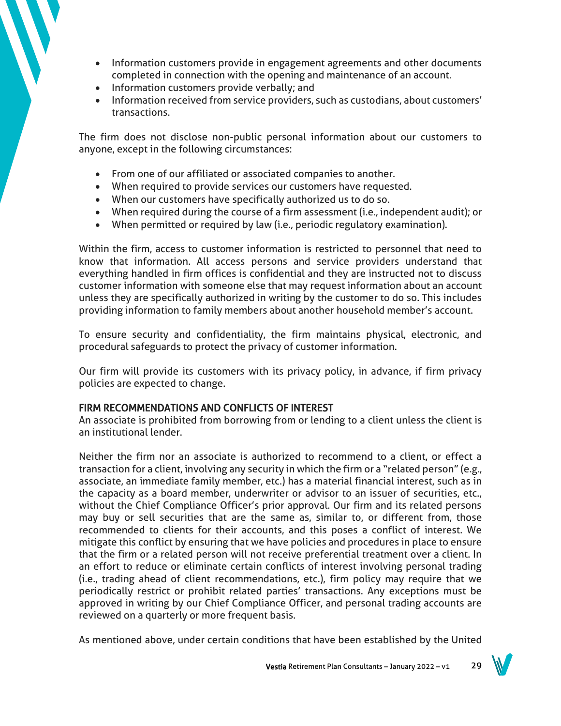- Information customers provide in engagement agreements and other documents completed in connection with the opening and maintenance of an account.
- Information customers provide verbally; and
- Information received from service providers, such as custodians, about customers' transactions.

The firm does not disclose non-public personal information about our customers to anyone, except in the following circumstances:

- From one of our affiliated or associated companies to another.
- When required to provide services our customers have requested.
- When our customers have specifically authorized us to do so.
- When required during the course of a firm assessment (i.e., independent audit); or
- When permitted or required by law (i.e., periodic regulatory examination).

Within the firm, access to customer information is restricted to personnel that need to know that information. All access persons and service providers understand that everything handled in firm offices is confidential and they are instructed not to discuss customer information with someone else that may request information about an account unless they are specifically authorized in writing by the customer to do so. This includes providing information to family members about another household member's account.

To ensure security and confidentiality, the firm maintains physical, electronic, and procedural safeguards to protect the privacy of customer information.

Our firm will provide its customers with its privacy policy, in advance, if firm privacy policies are expected to change.

## FIRM RECOMMENDATIONS AND CONFLICTS OF INTEREST

An associate is prohibited from borrowing from or lending to a client unless the client is an institutional lender.

Neither the firm nor an associate is authorized to recommend to a client, or effect a transaction for a client, involving any security in which the firm or a "related person" (e.g., associate, an immediate family member, etc.) has a material financial interest, such as in the capacity as a board member, underwriter or advisor to an issuer of securities, etc., without the Chief Compliance Officer's prior approval. Our firm and its related persons may buy or sell securities that are the same as, similar to, or different from, those recommended to clients for their accounts, and this poses a conflict of interest. We mitigate this conflict by ensuring that we have policies and procedures in place to ensure that the firm or a related person will not receive preferential treatment over a client. In an effort to reduce or eliminate certain conflicts of interest involving personal trading (i.e., trading ahead of client recommendations, etc.), firm policy may require that we periodically restrict or prohibit related parties' transactions. Any exceptions must be approved in writing by our Chief Compliance Officer, and personal trading accounts are reviewed on a quarterly or more frequent basis.

As mentioned above, under certain conditions that have been established by the United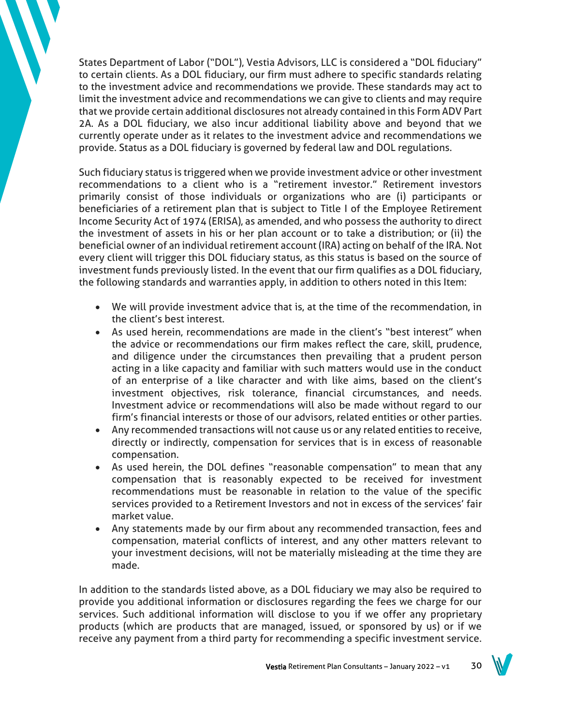States Department of Labor ("DOL"), Vestia Advisors, LLC is considered a "DOL fiduciary" to certain clients. As a DOL fiduciary, our firm must adhere to specific standards relating to the investment advice and recommendations we provide. These standards may act to limit the investment advice and recommendations we can give to clients and may require that we provide certain additional disclosures not already contained in this Form ADV Part 2A. As a DOL fiduciary, we also incur additional liability above and beyond that we currently operate under as it relates to the investment advice and recommendations we provide. Status as a DOL fiduciary is governed by federal law and DOL regulations.

Such fiduciary status is triggered when we provide investment advice or other investment recommendations to a client who is a "retirement investor." Retirement investors primarily consist of those individuals or organizations who are (i) participants or beneficiaries of a retirement plan that is subject to Title I of the Employee Retirement Income Security Act of 1974 (ERISA), as amended, and who possess the authority to direct the investment of assets in his or her plan account or to take a distribution; or (ii) the beneficial owner of an individual retirement account (IRA) acting on behalf of the IRA. Not every client will trigger this DOL fiduciary status, as this status is based on the source of investment funds previously listed. In the event that our firm qualifies as a DOL fiduciary, the following standards and warranties apply, in addition to others noted in this Item:

- We will provide investment advice that is, at the time of the recommendation, in the client's best interest.
- As used herein, recommendations are made in the client's "best interest" when the advice or recommendations our firm makes reflect the care, skill, prudence, and diligence under the circumstances then prevailing that a prudent person acting in a like capacity and familiar with such matters would use in the conduct of an enterprise of a like character and with like aims, based on the client's investment objectives, risk tolerance, financial circumstances, and needs. Investment advice or recommendations will also be made without regard to our firm's financial interests or those of our advisors, related entities or other parties.
- Any recommended transactions will not cause us or any related entities to receive, directly or indirectly, compensation for services that is in excess of reasonable compensation.
- As used herein, the DOL defines "reasonable compensation" to mean that any compensation that is reasonably expected to be received for investment recommendations must be reasonable in relation to the value of the specific services provided to a Retirement Investors and not in excess of the services' fair market value.
- Any statements made by our firm about any recommended transaction, fees and compensation, material conflicts of interest, and any other matters relevant to your investment decisions, will not be materially misleading at the time they are made.

In addition to the standards listed above, as a DOL fiduciary we may also be required to provide you additional information or disclosures regarding the fees we charge for our services. Such additional information will disclose to you if we offer any proprietary products (which are products that are managed, issued, or sponsored by us) or if we receive any payment from a third party for recommending a specific investment service.

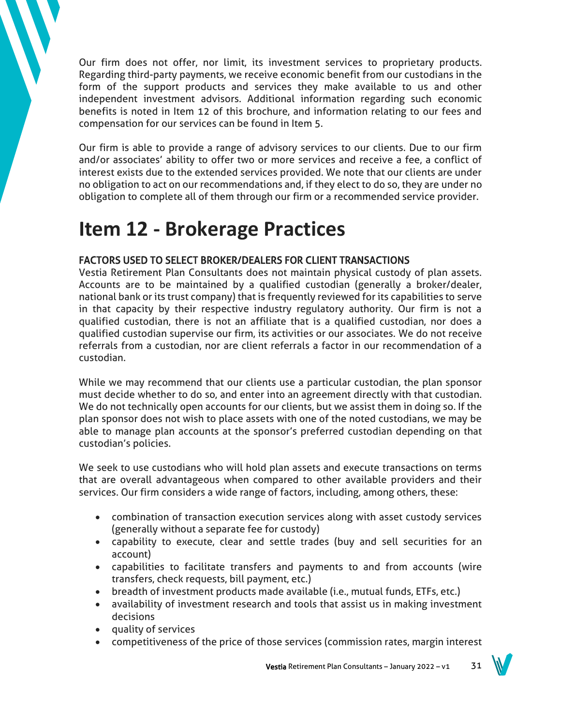Our firm does not offer, nor limit, its investment services to proprietary products. Regarding third-party payments, we receive economic benefit from our custodians in the form of the support products and services they make available to us and other independent investment advisors. Additional information regarding such economic benefits is noted in Item 12 of this brochure, and information relating to our fees and compensation for our services can be found in Item 5.

Our firm is able to provide a range of advisory services to our clients. Due to our firm and/or associates' ability to offer two or more services and receive a fee, a conflict of interest exists due to the extended services provided. We note that our clients are under no obligation to act on our recommendations and, if they elect to do so, they are under no obligation to complete all of them through our firm or a recommended service provider.

## **Item 12 - Brokerage Practices**

## FACTORS USED TO SELECT BROKER/DEALERS FOR CLIENT TRANSACTIONS

Vestia Retirement Plan Consultants does not maintain physical custody of plan assets. Accounts are to be maintained by a qualified custodian (generally a broker/dealer, national bank or its trust company) that is frequently reviewed for its capabilities to serve in that capacity by their respective industry regulatory authority. Our firm is not a qualified custodian, there is not an affiliate that is a qualified custodian, nor does a qualified custodian supervise our firm, its activities or our associates. We do not receive referrals from a custodian, nor are client referrals a factor in our recommendation of a custodian.

While we may recommend that our clients use a particular custodian, the plan sponsor must decide whether to do so, and enter into an agreement directly with that custodian. We do not technically open accounts for our clients, but we assist them in doing so. If the plan sponsor does not wish to place assets with one of the noted custodians, we may be able to manage plan accounts at the sponsor's preferred custodian depending on that custodian's policies.

We seek to use custodians who will hold plan assets and execute transactions on terms that are overall advantageous when compared to other available providers and their services. Our firm considers a wide range of factors, including, among others, these:

- combination of transaction execution services along with asset custody services (generally without a separate fee for custody)
- capability to execute, clear and settle trades (buy and sell securities for an account)
- capabilities to facilitate transfers and payments to and from accounts (wire transfers, check requests, bill payment, etc.)
- breadth of investment products made available (i.e., mutual funds, ETFs, etc.)
- availability of investment research and tools that assist us in making investment decisions
- quality of services
- competitiveness of the price of those services (commission rates, margin interest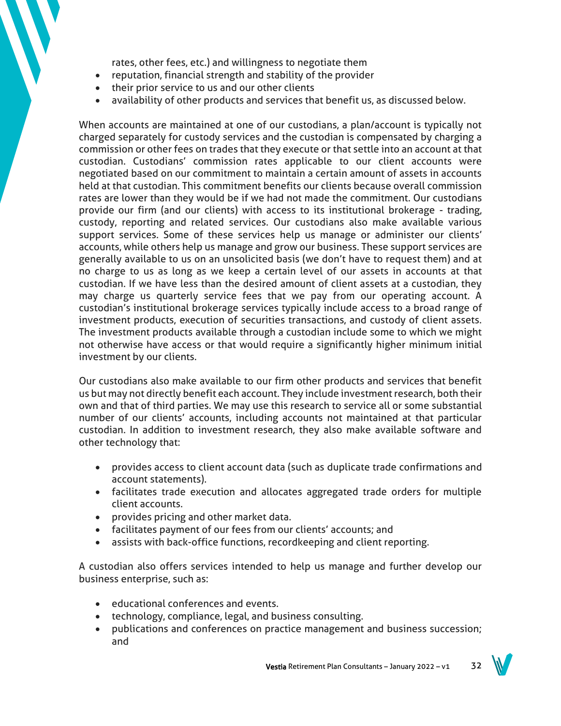rates, other fees, etc.) and willingness to negotiate them

- reputation, financial strength and stability of the provider
- their prior service to us and our other clients
- availability of other products and services that benefit us, as discussed below.

When accounts are maintained at one of our custodians, a plan/account is typically not charged separately for custody services and the custodian is compensated by charging a commission or other fees on trades that they execute or that settle into an account at that custodian. Custodians' commission rates applicable to our client accounts were negotiated based on our commitment to maintain a certain amount of assets in accounts held at that custodian. This commitment benefits our clients because overall commission rates are lower than they would be if we had not made the commitment. Our custodians provide our firm (and our clients) with access to its institutional brokerage - trading, custody, reporting and related services. Our custodians also make available various support services. Some of these services help us manage or administer our clients' accounts, while others help us manage and grow our business. These support services are generally available to us on an unsolicited basis (we don't have to request them) and at no charge to us as long as we keep a certain level of our assets in accounts at that custodian. If we have less than the desired amount of client assets at a custodian, they may charge us quarterly service fees that we pay from our operating account. A custodian's institutional brokerage services typically include access to a broad range of investment products, execution of securities transactions, and custody of client assets. The investment products available through a custodian include some to which we might not otherwise have access or that would require a significantly higher minimum initial investment by our clients.

Our custodians also make available to our firm other products and services that benefit us but may not directly benefit each account. They include investment research, both their own and that of third parties. We may use this research to service all or some substantial number of our clients' accounts, including accounts not maintained at that particular custodian. In addition to investment research, they also make available software and other technology that:

- provides access to client account data (such as duplicate trade confirmations and account statements).
- facilitates trade execution and allocates aggregated trade orders for multiple client accounts.
- provides pricing and other market data.
- facilitates payment of our fees from our clients' accounts; and
- assists with back-office functions, recordkeeping and client reporting.

A custodian also offers services intended to help us manage and further develop our business enterprise, such as:

- educational conferences and events.
- technology, compliance, legal, and business consulting.
- publications and conferences on practice management and business succession; and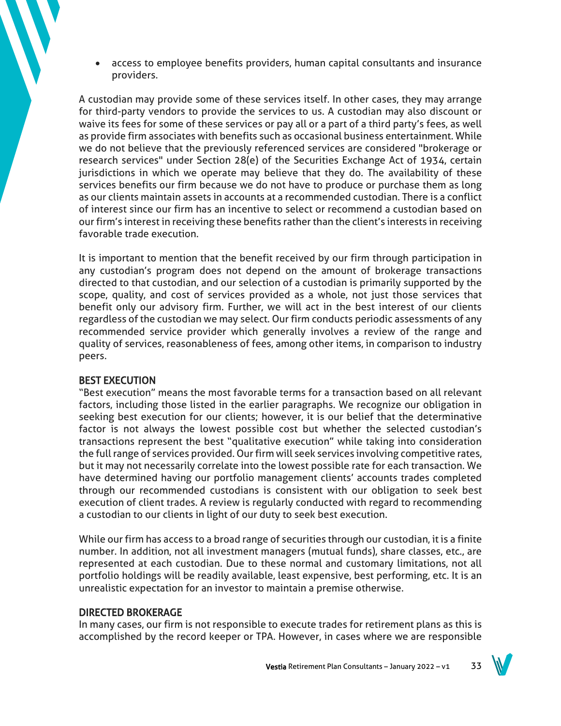• access to employee benefits providers, human capital consultants and insurance providers.

A custodian may provide some of these services itself. In other cases, they may arrange for third-party vendors to provide the services to us. A custodian may also discount or waive its fees for some of these services or pay all or a part of a third party's fees, as well as provide firm associates with benefits such as occasional business entertainment. While we do not believe that the previously referenced services are considered "brokerage or research services" under Section 28(e) of the Securities Exchange Act of 1934, certain jurisdictions in which we operate may believe that they do. The availability of these services benefits our firm because we do not have to produce or purchase them as long as our clients maintain assets in accounts at a recommended custodian. There is a conflict of interest since our firm has an incentive to select or recommend a custodian based on our firm's interest in receiving these benefits rather than the client's interests in receiving favorable trade execution.

It is important to mention that the benefit received by our firm through participation in any custodian's program does not depend on the amount of brokerage transactions directed to that custodian, and our selection of a custodian is primarily supported by the scope, quality, and cost of services provided as a whole, not just those services that benefit only our advisory firm. Further, we will act in the best interest of our clients regardless of the custodian we may select. Our firm conducts periodic assessments of any recommended service provider which generally involves a review of the range and quality of services, reasonableness of fees, among other items, in comparison to industry peers.

## BEST EXECUTION

"Best execution" means the most favorable terms for a transaction based on all relevant factors, including those listed in the earlier paragraphs. We recognize our obligation in seeking best execution for our clients; however, it is our belief that the determinative factor is not always the lowest possible cost but whether the selected custodian's transactions represent the best "qualitative execution" while taking into consideration the full range of services provided. Our firm will seek services involving competitive rates, but it may not necessarily correlate into the lowest possible rate for each transaction. We have determined having our portfolio management clients' accounts trades completed through our recommended custodians is consistent with our obligation to seek best execution of client trades. A review is regularly conducted with regard to recommending a custodian to our clients in light of our duty to seek best execution.

While our firm has access to a broad range of securities through our custodian, it is a finite number. In addition, not all investment managers (mutual funds), share classes, etc., are represented at each custodian. Due to these normal and customary limitations, not all portfolio holdings will be readily available, least expensive, best performing, etc. It is an unrealistic expectation for an investor to maintain a premise otherwise.

## DIRECTED BROKERAGE

In many cases, our firm is not responsible to execute trades for retirement plans as this is accomplished by the record keeper or TPA. However, in cases where we are responsible

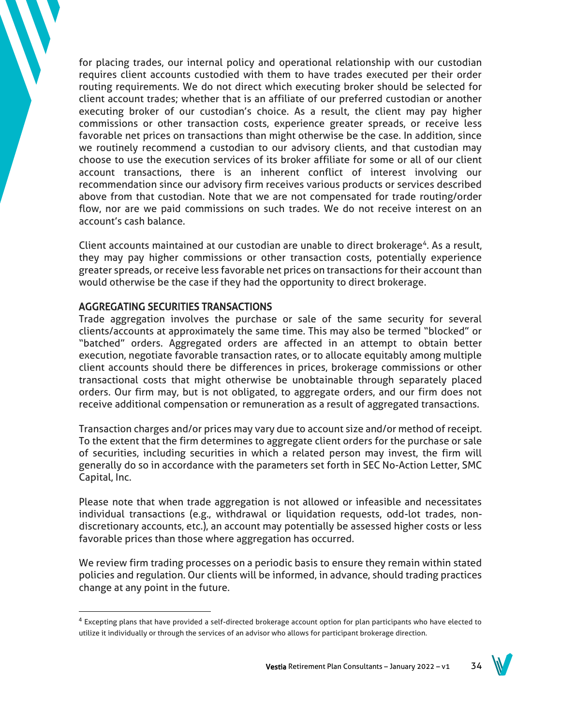for placing trades, our internal policy and operational relationship with our custodian requires client accounts custodied with them to have trades executed per their order routing requirements. We do not direct which executing broker should be selected for client account trades; whether that is an affiliate of our preferred custodian or another executing broker of our custodian's choice. As a result, the client may pay higher commissions or other transaction costs, experience greater spreads, or receive less favorable net prices on transactions than might otherwise be the case. In addition, since we routinely recommend a custodian to our advisory clients, and that custodian may choose to use the execution services of its broker affiliate for some or all of our client account transactions, there is an inherent conflict of interest involving our recommendation since our advisory firm receives various products or services described above from that custodian. Note that we are not compensated for trade routing/order flow, nor are we paid commissions on such trades. We do not receive interest on an account's cash balance.

Client accounts maintained at our custodian are unable to direct brokerage<sup>4</sup>. As a result, they may pay higher commissions or other transaction costs, potentially experience greater spreads, or receive less favorable net prices on transactions for their account than would otherwise be the case if they had the opportunity to direct brokerage.

## AGGREGATING SECURITIES TRANSACTIONS

Trade aggregation involves the purchase or sale of the same security for several clients/accounts at approximately the same time. This may also be termed "blocked" or "batched" orders. Aggregated orders are affected in an attempt to obtain better execution, negotiate favorable transaction rates, or to allocate equitably among multiple client accounts should there be differences in prices, brokerage commissions or other transactional costs that might otherwise be unobtainable through separately placed orders. Our firm may, but is not obligated, to aggregate orders, and our firm does not receive additional compensation or remuneration as a result of aggregated transactions.

Transaction charges and/or prices may vary due to account size and/or method of receipt. To the extent that the firm determines to aggregate client orders for the purchase or sale of securities, including securities in which a related person may invest, the firm will generally do so in accordance with the parameters set forth in SEC No-Action Letter, SMC Capital, Inc.

Please note that when trade aggregation is not allowed or infeasible and necessitates individual transactions (e.g., withdrawal or liquidation requests, odd-lot trades, nondiscretionary accounts, etc.), an account may potentially be assessed higher costs or less favorable prices than those where aggregation has occurred.

We review firm trading processes on a periodic basis to ensure they remain within stated policies and regulation. Our clients will be informed, in advance, should trading practices change at any point in the future.

<sup>&</sup>lt;sup>4</sup> Excepting plans that have provided a self-directed brokerage account option for plan participants who have elected to utilize it individually or through the services of an advisor who allows for participant brokerage direction.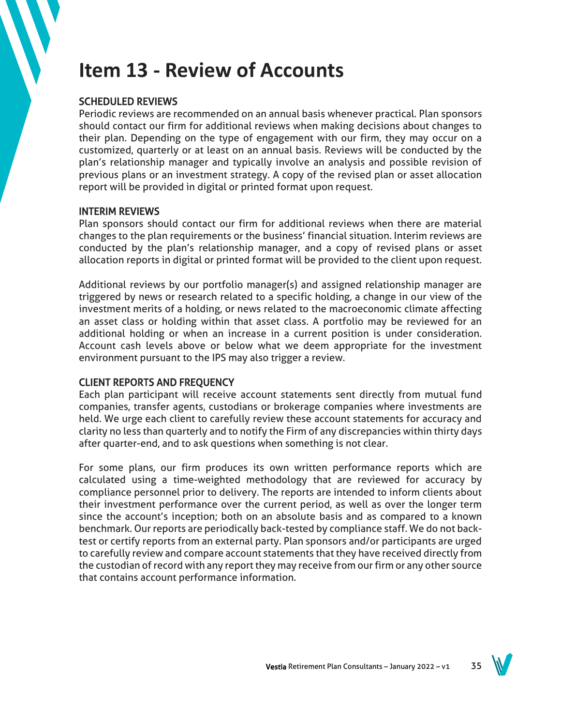## **Item 13 - Review of Accounts**

## SCHEDULED REVIEWS

Periodic reviews are recommended on an annual basis whenever practical. Plan sponsors should contact our firm for additional reviews when making decisions about changes to their plan. Depending on the type of engagement with our firm, they may occur on a customized, quarterly or at least on an annual basis. Reviews will be conducted by the plan's relationship manager and typically involve an analysis and possible revision of previous plans or an investment strategy. A copy of the revised plan or asset allocation report will be provided in digital or printed format upon request.

## INTERIM REVIEWS

Plan sponsors should contact our firm for additional reviews when there are material changes to the plan requirements or the business' financial situation. Interim reviews are conducted by the plan's relationship manager, and a copy of revised plans or asset allocation reports in digital or printed format will be provided to the client upon request.

Additional reviews by our portfolio manager(s) and assigned relationship manager are triggered by news or research related to a specific holding, a change in our view of the investment merits of a holding, or news related to the macroeconomic climate affecting an asset class or holding within that asset class. A portfolio may be reviewed for an additional holding or when an increase in a current position is under consideration. Account cash levels above or below what we deem appropriate for the investment environment pursuant to the IPS may also trigger a review.

## CLIENT REPORTS AND FREQUENCY

Each plan participant will receive account statements sent directly from mutual fund companies, transfer agents, custodians or brokerage companies where investments are held. We urge each client to carefully review these account statements for accuracy and clarity no less than quarterly and to notify the Firm of any discrepancies within thirty days after quarter-end, and to ask questions when something is not clear.

For some plans, our firm produces its own written performance reports which are calculated using a time-weighted methodology that are reviewed for accuracy by compliance personnel prior to delivery. The reports are intended to inform clients about their investment performance over the current period, as well as over the longer term since the account's inception; both on an absolute basis and as compared to a known benchmark. Our reports are periodically back-tested by compliance staff. We do not backtest or certify reports from an external party. Plan sponsors and/or participants are urged to carefully review and compare account statements that they have received directly from the custodian of record with any report they may receive from our firm or any other source that contains account performance information.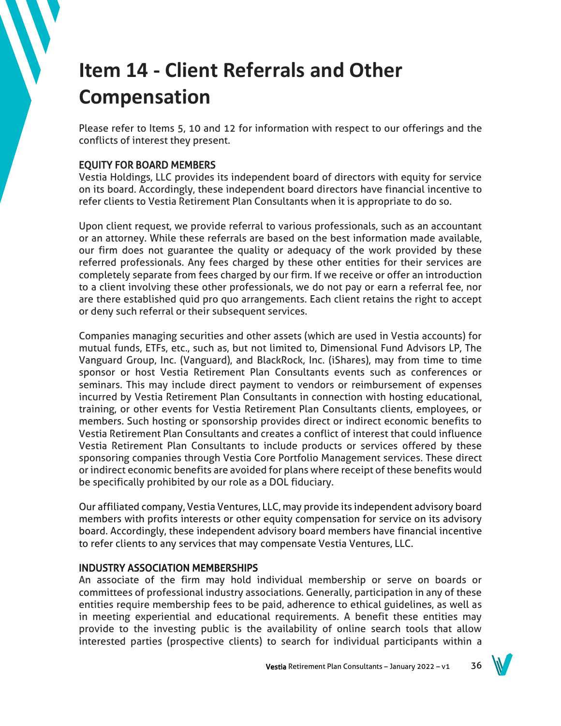# **Item 14 - Client Referrals and Other Compensation**

Please refer to Items 5, 10 and 12 for information with respect to our offerings and the conflicts of interest they present.

## EQUITY FOR BOARD MEMBERS

Vestia Holdings, LLC provides its independent board of directors with equity for service on its board. Accordingly, these independent board directors have financial incentive to refer clients to Vestia Retirement Plan Consultants when it is appropriate to do so.

Upon client request, we provide referral to various professionals, such as an accountant or an attorney. While these referrals are based on the best information made available, our firm does not guarantee the quality or adequacy of the work provided by these referred professionals. Any fees charged by these other entities for their services are completely separate from fees charged by our firm. If we receive or offer an introduction to a client involving these other professionals, we do not pay or earn a referral fee, nor are there established quid pro quo arrangements. Each client retains the right to accept or deny such referral or their subsequent services.

Companies managing securities and other assets (which are used in Vestia accounts) for mutual funds, ETFs, etc., such as, but not limited to, Dimensional Fund Advisors LP, The Vanguard Group, Inc. (Vanguard), and BlackRock, Inc. (iShares), may from time to time sponsor or host Vestia Retirement Plan Consultants events such as conferences or seminars. This may include direct payment to vendors or reimbursement of expenses incurred by Vestia Retirement Plan Consultants in connection with hosting educational, training, or other events for Vestia Retirement Plan Consultants clients, employees, or members. Such hosting or sponsorship provides direct or indirect economic benefits to Vestia Retirement Plan Consultants and creates a conflict of interest that could influence Vestia Retirement Plan Consultants to include products or services offered by these sponsoring companies through Vestia Core Portfolio Management services. These direct or indirect economic benefits are avoided for plans where receipt of these benefits would be specifically prohibited by our role as a DOL fiduciary.

Our affiliated company, Vestia Ventures, LLC, may provide its independent advisory board members with profits interests or other equity compensation for service on its advisory board. Accordingly, these independent advisory board members have financial incentive to refer clients to any services that may compensate Vestia Ventures, LLC.

## INDUSTRY ASSOCIATION MEMBERSHIPS

An associate of the firm may hold individual membership or serve on boards or committees of professional industry associations. Generally, participation in any of these entities require membership fees to be paid, adherence to ethical guidelines, as well as in meeting experiential and educational requirements. A benefit these entities may provide to the investing public is the availability of online search tools that allow interested parties (prospective clients) to search for individual participants within a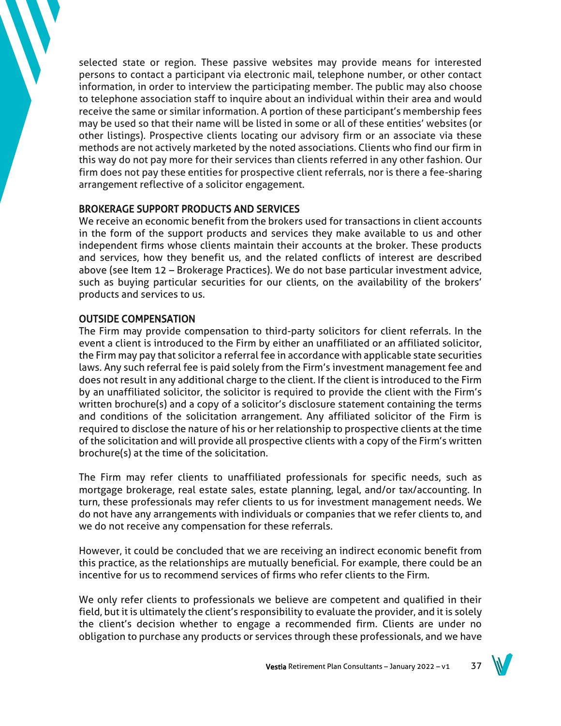selected state or region. These passive websites may provide means for interested persons to contact a participant via electronic mail, telephone number, or other contact information, in order to interview the participating member. The public may also choose to telephone association staff to inquire about an individual within their area and would receive the same or similar information. A portion of these participant's membership fees may be used so that their name will be listed in some or all of these entities' websites (or other listings). Prospective clients locating our advisory firm or an associate via these methods are not actively marketed by the noted associations. Clients who find our firm in this way do not pay more for their services than clients referred in any other fashion. Our firm does not pay these entities for prospective client referrals, nor is there a fee-sharing arrangement reflective of a solicitor engagement.

## BROKERAGE SUPPORT PRODUCTS AND SERVICES

We receive an economic benefit from the brokers used for transactions in client accounts in the form of the support products and services they make available to us and other independent firms whose clients maintain their accounts at the broker. These products and services, how they benefit us, and the related conflicts of interest are described above (see Item 12 – Brokerage Practices). We do not base particular investment advice, such as buying particular securities for our clients, on the availability of the brokers' products and services to us.

## OUTSIDE COMPENSATION

The Firm may provide compensation to third-party solicitors for client referrals. In the event a client is introduced to the Firm by either an unaffiliated or an affiliated solicitor, the Firm may pay that solicitor a referral fee in accordance with applicable state securities laws. Any such referral fee is paid solely from the Firm's investment management fee and does not result in any additional charge to the client. If the client is introduced to the Firm by an unaffiliated solicitor, the solicitor is required to provide the client with the Firm's written brochure(s) and a copy of a solicitor's disclosure statement containing the terms and conditions of the solicitation arrangement. Any affiliated solicitor of the Firm is required to disclose the nature of his or her relationship to prospective clients at the time of the solicitation and will provide all prospective clients with a copy of the Firm's written brochure(s) at the time of the solicitation.

The Firm may refer clients to unaffiliated professionals for specific needs, such as mortgage brokerage, real estate sales, estate planning, legal, and/or tax/accounting. In turn, these professionals may refer clients to us for investment management needs. We do not have any arrangements with individuals or companies that we refer clients to, and we do not receive any compensation for these referrals.

However, it could be concluded that we are receiving an indirect economic benefit from this practice, as the relationships are mutually beneficial. For example, there could be an incentive for us to recommend services of firms who refer clients to the Firm.

We only refer clients to professionals we believe are competent and qualified in their field, but it is ultimately the client's responsibility to evaluate the provider, and it is solely the client's decision whether to engage a recommended firm. Clients are under no obligation to purchase any products or services through these professionals, and we have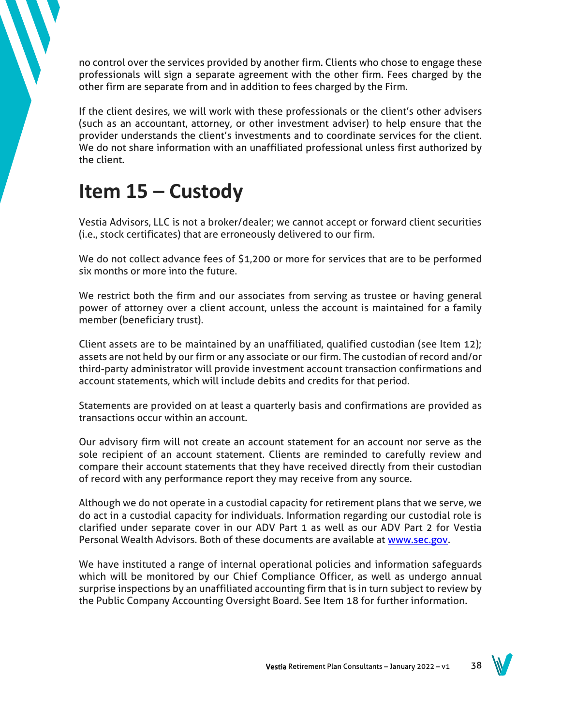no control over the services provided by another firm. Clients who chose to engage these professionals will sign a separate agreement with the other firm. Fees charged by the other firm are separate from and in addition to fees charged by the Firm.

If the client desires, we will work with these professionals or the client's other advisers (such as an accountant, attorney, or other investment adviser) to help ensure that the provider understands the client's investments and to coordinate services for the client. We do not share information with an unaffiliated professional unless first authorized by the client.

## **Item 15 – Custody**

Vestia Advisors, LLC is not a broker/dealer; we cannot accept or forward client securities (i.e., stock certificates) that are erroneously delivered to our firm.

We do not collect advance fees of \$1,200 or more for services that are to be performed six months or more into the future.

We restrict both the firm and our associates from serving as trustee or having general power of attorney over a client account, unless the account is maintained for a family member (beneficiary trust).

Client assets are to be maintained by an unaffiliated, qualified custodian (see Item 12); assets are not held by our firm or any associate or our firm. The custodian of record and/or third-party administrator will provide investment account transaction confirmations and account statements, which will include debits and credits for that period.

Statements are provided on at least a quarterly basis and confirmations are provided as transactions occur within an account.

Our advisory firm will not create an account statement for an account nor serve as the sole recipient of an account statement. Clients are reminded to carefully review and compare their account statements that they have received directly from their custodian of record with any performance report they may receive from any source.

Although we do not operate in a custodial capacity for retirement plans that we serve, we do act in a custodial capacity for individuals. Information regarding our custodial role is clarified under separate cover in our ADV Part 1 as well as our ADV Part 2 for Vestia Personal Wealth Advisors. Both of these documents are available at [www.sec.gov.](http://www.sec.gov/)

We have instituted a range of internal operational policies and information safeguards which will be monitored by our Chief Compliance Officer, as well as undergo annual surprise inspections by an unaffiliated accounting firm that is in turn subject to review by the Public Company Accounting Oversight Board. See Item 18 for further information.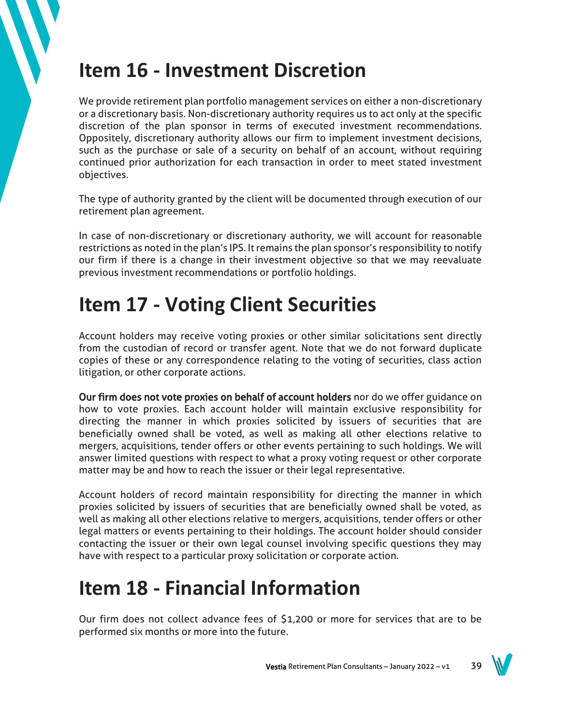## **Item 16 - Investment Discretion**

We provide retirement plan portfolio management services on either a non-discretionary or a discretionary basis. Non-discretionary authority requires us to act only at the specific discretion of the plan sponsor in terms of executed investment recommendations. Oppositely, discretionary authority allows our firm to implement investment decisions, such as the purchase or sale of a security on behalf of an account, without requiring continued prior authorization for each transaction in order to meet stated investment objectives.

The type of authority granted by the client will be documented through execution of our retirement plan agreement.

In case of non-discretionary or discretionary authority, we will account for reasonable restrictions as noted in the plan's IPS. It remains the plan sponsor's responsibility to notify our firm if there is a change in their investment objective so that we may reevaluate previous investment recommendations or portfolio holdings.

# **Item 17 - Voting Client Securities**

Account holders may receive voting proxies or other similar solicitations sent directly from the custodian of record or transfer agent. Note that we do not forward duplicate copies of these or any correspondence relating to the voting of securities, class action litigation, or other corporate actions.

Our firm does not vote proxies on behalf of account holders nor do we offer guidance on how to vote proxies. Each account holder will maintain exclusive responsibility for directing the manner in which proxies solicited by issuers of securities that are beneficially owned shall be voted, as well as making all other elections relative to mergers, acquisitions, tender offers or other events pertaining to such holdings. We will answer limited questions with respect to what a proxy voting request or other corporate matter may be and how to reach the issuer or their legal representative.

Account holders of record maintain responsibility for directing the manner in which proxies solicited by issuers of securities that are beneficially owned shall be voted, as well as making all other elections relative to mergers, acquisitions, tender offers or other legal matters or events pertaining to their holdings. The account holder should consider contacting the issuer or their own legal counsel involving specific questions they may have with respect to a particular proxy solicitation or corporate action.

# **Item 18 - Financial Information**

Our firm does not collect advance fees of \$1,200 or more for services that are to be performed six months or more into the future.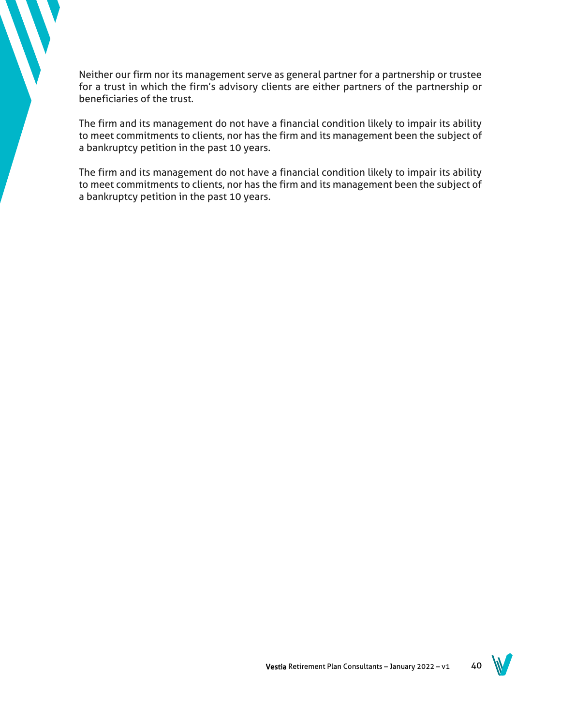Neither our firm nor its management serve as general partner for a partnership or trustee for a trust in which the firm's advisory clients are either partners of the partnership or beneficiaries of the trust.

The firm and its management do not have a financial condition likely to impair its ability to meet commitments to clients, nor has the firm and its management been the subject of a bankruptcy petition in the past 10 years.

The firm and its management do not have a financial condition likely to impair its ability to meet commitments to clients, nor has the firm and its management been the subject of a bankruptcy petition in the past 10 years.